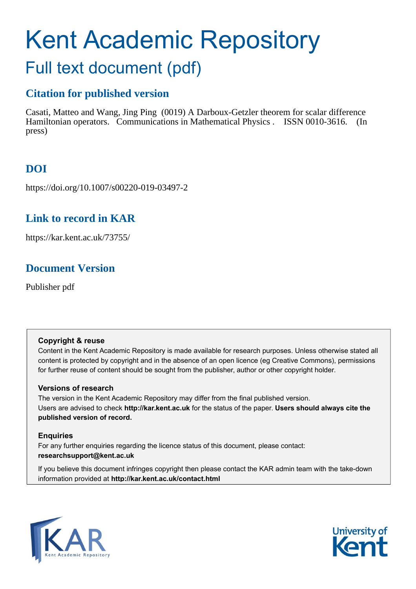# Kent Academic Repository Full text document (pdf)

# **Citation for published version**

Casati, Matteo and Wang, Jing Ping (0019) A Darboux-Getzler theorem for scalar difference Hamiltonian operators. Communications in Mathematical Physics . ISSN 0010-3616. (In press)

# **DOI**

https://doi.org/10.1007/s00220-019-03497-2

# **Link to record in KAR**

https://kar.kent.ac.uk/73755/

# **Document Version**

Publisher pdf

### **Copyright & reuse**

Content in the Kent Academic Repository is made available for research purposes. Unless otherwise stated all content is protected by copyright and in the absence of an open licence (eg Creative Commons), permissions for further reuse of content should be sought from the publisher, author or other copyright holder.

### **Versions of research**

The version in the Kent Academic Repository may differ from the final published version. Users are advised to check **http://kar.kent.ac.uk** for the status of the paper. **Users should always cite the published version of record.**

### **Enquiries**

For any further enquiries regarding the licence status of this document, please contact: **researchsupport@kent.ac.uk**

If you believe this document infringes copyright then please contact the KAR admin team with the take-down information provided at **http://kar.kent.ac.uk/contact.html**



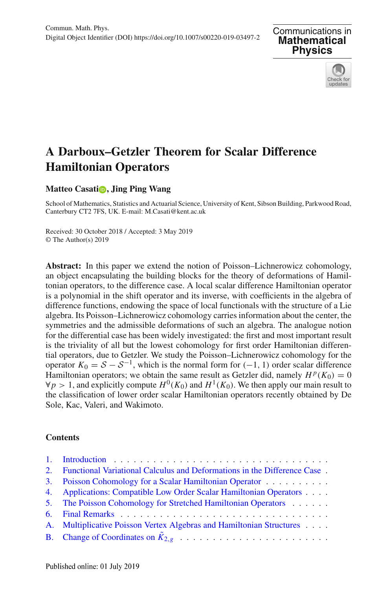



## **A Darboux–Getzler Theorem for Scalar Difference Hamiltonian Operators**

#### **Matteo Casatio[,](http://orcid.org/0000-0002-2207-4807) Jing Ping Wang**

School of Mathematics, Statistics and Actuarial Science, University of Kent, Sibson Building, Parkwood Road, Canterbury CT2 7FS, UK. E-mail: M.Casati@kent.ac.uk

Received: 30 October 2018 / Accepted: 3 May 2019 © The Author(s) 2019

**Abstract:** In this paper we extend the notion of Poisson–Lichnerowicz cohomology, an object encapsulating the building blocks for the theory of deformations of Hamiltonian operators, to the difference case. A local scalar difference Hamiltonian operator is a polynomial in the shift operator and its inverse, with coefficients in the algebra of difference functions, endowing the space of local functionals with the structure of a Lie algebra. Its Poisson–Lichnerowicz cohomology carries information about the center, the symmetries and the admissible deformations of such an algebra. The analogue notion for the differential case has been widely investigated: the first and most important result is the triviality of all but the lowest cohomology for first order Hamiltonian differential operators, due to Getzler. We study the Poisson–Lichnerowicz cohomology for the operator  $K_0 = S - S^{-1}$ , which is the normal form for (−1, 1) order scalar difference Hamiltonian operators; we obtain the same result as Getzler did, namely  $H^p(K_0) = 0$  $\forall p > 1$ , and explicitly compute  $H^0(K_0)$  and  $H^1(K_0)$ . We then apply our main result to the classification of lower order scalar Hamiltonian operators recently obtained by De Sole, Kac, Valeri, and Wakimoto.

#### **Contents**

| 2. Functional Variational Calculus and Deformations in the Difference Case. |
|-----------------------------------------------------------------------------|
| 3. Poisson Cohomology for a Scalar Hamiltonian Operator                     |
| 4. Applications: Compatible Low Order Scalar Hamiltonian Operators          |
| 5. The Poisson Cohomology for Stretched Hamiltonian Operators               |
|                                                                             |
| A. Multiplicative Poisson Vertex Algebras and Hamiltonian Structures        |
|                                                                             |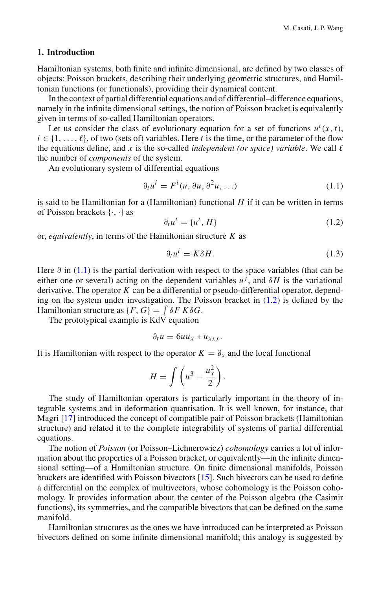#### **1. Introduction**

Hamiltonian systems, both finite and infinite dimensional, are defined by two classes of objects: Poisson brackets, describing their underlying geometric structures, and Hamiltonian functions (or functionals), providing their dynamical content.

In the context of partial differential equations and of differential–difference equations, namely in the infinite dimensional settings, the notion of Poisson bracket is equivalently given in terms of so-called Hamiltonian operators.

Let us consider the class of evolutionary equation for a set of functions  $u^i(x, t)$ ,  $i \in \{1, \ldots, \ell\}$ , of two (sets of) variables. Here *t* is the time, or the parameter of the flow the equations define, and  $x$  is the so-called *independent* (or space) variable. We call  $\ell$ the number of *components* of the system.

An evolutionary system of differential equations

$$
\partial_t u^i = F^i(u, \partial u, \partial^2 u, \ldots) \tag{1.1}
$$

is said to be Hamiltonian for a (Hamiltonian) functional *H* if it can be written in terms of Poisson brackets {·, ·} as

$$
\partial_t u^i = \{u^i, H\} \tag{1.2}
$$

or, *equivalently*, in terms of the Hamiltonian structure *K* as

$$
\partial_t u^i = K \delta H. \tag{1.3}
$$

Here  $\partial$  in (1.1) is the partial derivation with respect to the space variables (that can be either one or several) acting on the dependent variables  $u^j$ , and  $\delta H$  is the variational derivative. The operator *K* can be a differential or pseudo-differential operator, depending on the system under investigation. The Poisson bracket in  $(1.2)$  is defined by the Hamiltonian structure as  $\{F, G\} = \int \delta F K \delta G$ .

The prototypical example is KdV equation

$$
\partial_t u = 6uu_x + u_{xxx}.
$$

It is Hamiltonian with respect to the operator  $K = \partial_x$  and the local functional

$$
H = \int \left( u^3 - \frac{u_x^2}{2} \right).
$$

The study of Hamiltonian operators is particularly important in the theory of integrable systems and in deformation quantisation. It is well known, for instance, that Magri [17] introduced the concept of compatible pair of Poisson brackets (Hamiltonian structure) and related it to the complete integrability of systems of partial differential equations.

The notion of *Poisson* (or Poisson–Lichnerowicz) *cohomology* carries a lot of information about the properties of a Poisson bracket, or equivalently—in the infinite dimensional setting—of a Hamiltonian structure. On finite dimensional manifolds, Poisson brackets are identified with Poisson bivectors [15]. Such bivectors can be used to define a differential on the complex of multivectors, whose cohomology is the Poisson cohomology. It provides information about the center of the Poisson algebra (the Casimir functions), its symmetries, and the compatible bivectors that can be defined on the same manifold.

Hamiltonian structures as the ones we have introduced can be interpreted as Poisson bivectors defined on some infinite dimensional manifold; this analogy is suggested by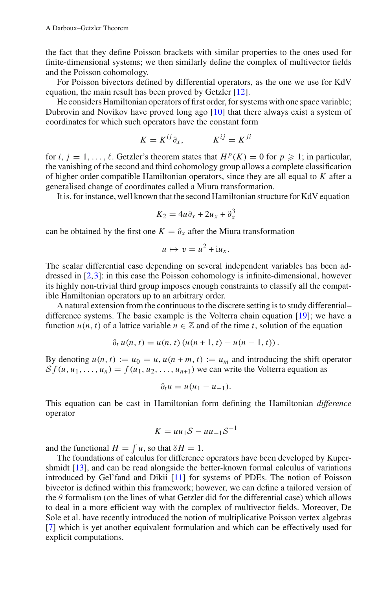the fact that they define Poisson brackets with similar properties to the ones used for finite-dimensional systems; we then similarly define the complex of multivector fields and the Poisson cohomology.

For Poisson bivectors defined by differential operators, as the one we use for KdV equation, the main result has been proved by Getzler [12].

He considers Hamiltonian operators of first order, for systems with one space variable; Dubrovin and Novikov have proved long ago [10] that there always exist a system of coordinates for which such operators have the constant form

$$
K = K^{ij} \partial_x, \qquad K^{ij} = K^{ji}
$$

for *i*,  $j = 1, ..., \ell$ . Getzler's theorem states that  $H^p(K) = 0$  for  $p \ge 1$ ; in particular, the vanishing of the second and third cohomology group allows a complete classification of higher order compatible Hamiltonian operators, since they are all equal to *K* after a generalised change of coordinates called a Miura transformation.

It is, for instance, well known that the second Hamiltonian structure for KdV equation

$$
K_2 = 4u\partial_x + 2u_x + \partial_x^3
$$

can be obtained by the first one  $K = \partial_x$  after the Miura transformation

$$
u \mapsto v = u^2 + i u_x.
$$

The scalar differential case depending on several independent variables has been addressed in  $[2,3]$ : in this case the Poisson cohomology is infinite-dimensional, however its highly non-trivial third group imposes enough constraints to classify all the compatible Hamiltonian operators up to an arbitrary order.

A natural extension from the continuous to the discrete setting is to study differential– difference systems. The basic example is the Volterra chain equation [19]; we have a function  $u(n, t)$  of a lattice variable  $n \in \mathbb{Z}$  and of the time *t*, solution of the equation

$$
\partial_t u(n, t) = u(n, t) (u(n + 1, t) - u(n - 1, t)).
$$

By denoting  $u(n, t) := u_0 = u$ ,  $u(n + m, t) := u_m$  and introducing the shift operator  $S_f(u, u_1, \ldots, u_n) = f(u_1, u_2, \ldots, u_{n+1})$  we can write the Volterra equation as

$$
\partial_t u = u(u_1 - u_{-1}).
$$

This equation can be cast in Hamiltonian form defining the Hamiltonian *difference* operator

$$
K = uu_1S - uu_{-1}S^{-1}
$$

and the functional  $H = \int u$ , so that  $\delta H = 1$ .

The foundations of calculus for difference operators have been developed by Kupershmidt [13], and can be read alongside the better-known formal calculus of variations introduced by Gel'fand and Dikii [11] for systems of PDEs. The notion of Poisson bivector is defined within this framework; however, we can define a tailored version of the  $\theta$  formalism (on the lines of what Getzler did for the differential case) which allows to deal in a more efficient way with the complex of multivector fields. Moreover, De Sole et al. have recently introduced the notion of multiplicative Poisson vertex algebras [7] which is yet another equivalent formulation and which can be effectively used for explicit computations.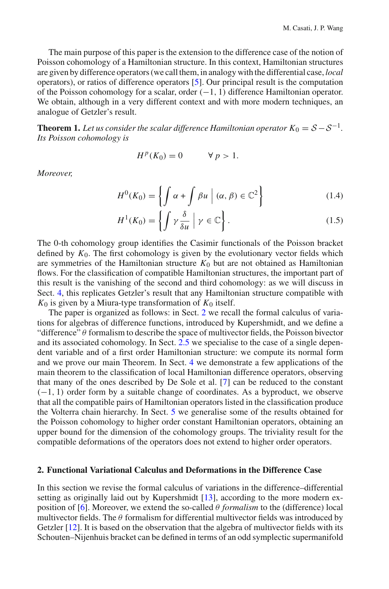The main purpose of this paper is the extension to the difference case of the notion of Poisson cohomology of a Hamiltonian structure. In this context, Hamiltonian structures are given by difference operators (we call them, in analogy with the differential case, *local* operators), or ratios of difference operators [5]. Our principal result is the computation of the Poisson cohomology for a scalar, order  $(-1, 1)$  difference Hamiltonian operator. We obtain, although in a very different context and with more modern techniques, an analogue of Getzler's result.

**Theorem 1.** *Let us consider the scalar difference Hamiltonian operator*  $K_0 = S - S^{-1}$ . *Its Poisson cohomology is*

$$
H^p(K_0) = 0 \qquad \forall p > 1.
$$

*Moreover,*

$$
H^{0}(K_{0}) = \left\{ \int \alpha + \int \beta u \mid (\alpha, \beta) \in \mathbb{C}^{2} \right\}
$$
 (1.4)

$$
H^{1}(K_{0}) = \left\{ \int \gamma \frac{\delta}{\delta u} \mid \gamma \in \mathbb{C} \right\}.
$$
 (1.5)

The 0-th cohomology group identifies the Casimir functionals of the Poisson bracket defined by  $K_0$ . The first cohomology is given by the evolutionary vector fields which are symmetries of the Hamiltonian structure  $K_0$  but are not obtained as Hamiltonian flows. For the classification of compatible Hamiltonian structures, the important part of this result is the vanishing of the second and third cohomology: as we will discuss in Sect. 4, this replicates Getzler's result that any Hamiltonian structure compatible with  $K_0$  is given by a Miura-type transformation of  $K_0$  itself.

The paper is organized as follows: in Sect. 2 we recall the formal calculus of variations for algebras of difference functions, introduced by Kupershmidt, and we define a "difference" θ formalism to describe the space of multivector fields, the Poisson bivector and its associated cohomology. In Sect. 2.5 we specialise to the case of a single dependent variable and of a first order Hamiltonian structure: we compute its normal form and we prove our main Theorem. In Sect. 4 we demonstrate a few applications of the main theorem to the classification of local Hamiltonian difference operators, observing that many of the ones described by De Sole et al. [7] can be reduced to the constant  $(-1, 1)$  order form by a suitable change of coordinates. As a byproduct, we observe that all the compatible pairs of Hamiltonian operators listed in the classification produce the Volterra chain hierarchy. In Sect. 5 we generalise some of the results obtained for the Poisson cohomology to higher order constant Hamiltonian operators, obtaining an upper bound for the dimension of the cohomology groups. The triviality result for the compatible deformations of the operators does not extend to higher order operators.

#### **2. Functional Variational Calculus and Deformations in the Difference Case**

In this section we revise the formal calculus of variations in the difference–differential setting as originally laid out by Kupershmidt [13], according to the more modern exposition of [6]. Moreover, we extend the so-called  $\theta$  *formalism* to the (difference) local multivector fields. The  $\theta$  formalism for differential multivector fields was introduced by Getzler [12]. It is based on the observation that the algebra of multivector fields with its Schouten–Nijenhuis bracket can be defined in terms of an odd symplectic supermanifold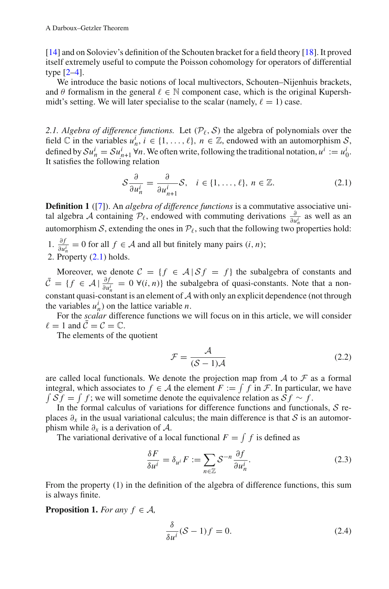[14] and on Soloviev's definition of the Schouten bracket for a field theory [18]. It proved itself extremely useful to compute the Poisson cohomology for operators of differential type [2–4].

We introduce the basic notions of local multivectors, Schouten–Nijenhuis brackets, and  $\theta$  formalism in the general  $\ell \in \mathbb{N}$  component case, which is the original Kupershmidt's setting. We will later specialise to the scalar (namely,  $\ell = 1$ ) case.

2.1. Algebra of difference functions. Let  $(\mathcal{P}_{\ell}, \mathcal{S})$  the algebra of polynomials over the field  $\mathbb C$  in the variables  $u_n^i$ ,  $i \in \{1, ..., \ell\}$ ,  $n \in \mathbb Z$ , endowed with an automorphism *S*, defined by  $\mathcal{S}u_n^i = \mathcal{S}u_{n+1}^i \forall n$ . We often write, following the traditional notation,  $u^i := u_0^i$ . It satisfies the following relation

$$
S\frac{\partial}{\partial u_n^i} = \frac{\partial}{\partial u_{n+1}^i} S, \quad i \in \{1, \dots, \ell\}, n \in \mathbb{Z}.
$$
 (2.1)

**Definition 1** ([7]). An *algebra of difference functions* is a commutative associative unital algebra *A* containing  $\mathcal{P}_{\ell}$ , endowed with commuting derivations  $\frac{\partial}{\partial u_n^i}$  as well as an automorphism *S*, extending the ones in  $\mathcal{P}_{\ell}$ , such that the following two properties hold:

- 1.  $\frac{\partial f}{\partial u_n^i}$  = 0 for all *f* ∈ *A* and all but finitely many pairs  $(i, n)$ ;
- 2. Property (2.1) holds.

Moreover, we denote  $C = \{f \in \mathcal{A} | S f = f\}$  the subalgebra of constants and  $\bar{\mathcal{C}} = \{ f \in \mathcal{A} \mid \frac{\partial f}{\partial u_n^i} = 0 \; \forall (i, n) \}$  the subalgebra of quasi-constants. Note that a nonconstant quasi-constant is an element of *A* with only an explicit dependence (not through the variables  $u_n^i$ ) on the lattice variable *n*.

For the *scalar* difference functions we will focus on in this article, we will consider  $\ell = 1$  and  $\overline{C} = C = \mathbb{C}$ .

The elements of the quotient

$$
\mathcal{F} = \frac{\mathcal{A}}{(\mathcal{S} - 1)\mathcal{A}}\tag{2.2}
$$

are called local functionals. We denote the projection map from  $A$  to  $F$  as a formal integral, which associates to  $f \in A$  the element  $F := \int f$  in  $\mathcal{F}$ . In particular, we have  $\int S f = \int f$ ; we will sometime denote the equivalence relation as  $S f \sim f$ .

In the formal calculus of variations for difference functions and functionals, *S* replaces  $\partial_x$  in the usual variational calculus; the main difference is that *S* is an automorphism while  $\partial_x$  is a derivation of  $\mathcal{A}$ .

The variational derivative of a local functional  $F = \int f$  is defined as

$$
\frac{\delta F}{\delta u^i} = \delta_{u^i} F := \sum_{n \in \mathbb{Z}} S^{-n} \frac{\partial f}{\partial u_n^i}.
$$
 (2.3)

From the property (1) in the definition of the algebra of difference functions, this sum is always finite.

**Proposition 1.** *For any*  $f \in \mathcal{A}$ ,

$$
\frac{\delta}{\delta u^i} (\mathcal{S} - 1) f = 0. \tag{2.4}
$$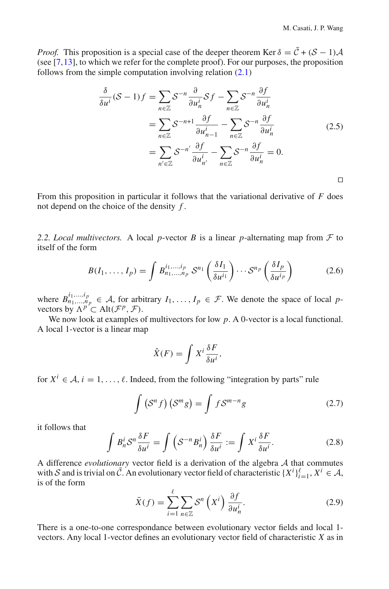*Proof.* This proposition is a special case of the deeper theorem Ker  $\delta = \bar{C} + (S - 1)A$ (see  $[7,13]$ , to which we refer for the complete proof). For our purposes, the proposition follows from the simple computation involving relation (2.1)

$$
\frac{\delta}{\delta u^{i}}(S-1)f = \sum_{n \in \mathbb{Z}} S^{-n} \frac{\partial}{\partial u_{n}^{i}} Sf - \sum_{n \in \mathbb{Z}} S^{-n} \frac{\partial f}{\partial u_{n}^{i}}
$$
  

$$
= \sum_{n \in \mathbb{Z}} S^{-n+1} \frac{\partial f}{\partial u_{n-1}^{i}} - \sum_{n \in \mathbb{Z}} S^{-n} \frac{\partial f}{\partial u_{n}^{i}}
$$
  

$$
= \sum_{n' \in \mathbb{Z}} S^{-n'} \frac{\partial f}{\partial u_{n'}^{i}} - \sum_{n \in \mathbb{Z}} S^{-n} \frac{\partial f}{\partial u_{n}^{i}} = 0.
$$

From this proposition in particular it follows that the variational derivative of *F* does not depend on the choice of the density *f* .

2.2. Local multivectors. A local p-vector *B* is a linear *p*-alternating map from  $F$  to itself of the form

$$
B(I_1, \ldots, I_p) = \int B_{n_1, \ldots, n_p}^{i_1, \ldots, i_p} \mathcal{S}^{n_1} \left( \frac{\delta I_1}{\delta u^{i_1}} \right) \cdots \mathcal{S}^{n_p} \left( \frac{\delta I_p}{\delta u^{i_p}} \right) \tag{2.6}
$$

where  $B_{n_1,...,n_p}^{i_1,...,i_p} \in A$ , for arbitrary  $I_1,..., I_p \in \mathcal{F}$ . We denote the space of local *p*vectors by  $\Lambda^{p} \subset$  Alt $(\mathcal{F}^p, \mathcal{F})$ .

We now look at examples of multivectors for low p. A 0-vector is a local functional. A local 1-vector is a linear map

$$
\hat{X}(F) = \int X^i \frac{\delta F}{\delta u^i},
$$

for  $X^i \in \mathcal{A}$ ,  $i = 1, \ldots, \ell$ . Indeed, from the following "integration by parts" rule

$$
\int \left(\mathcal{S}^n f\right) \left(\mathcal{S}^m g\right) = \int f \mathcal{S}^{m-n} g \tag{2.7}
$$

it follows that

$$
\int B_n^i S^n \frac{\delta F}{\delta u^i} = \int \left( S^{-n} B_n^i \right) \frac{\delta F}{\delta u^i} := \int X^i \frac{\delta F}{\delta u^i}.
$$
 (2.8)

A difference *evolutionary* vector field is a derivation of the algebra *A* that commutes with *S* and is trivial on  $\overline{C}$ . An evolutionary vector field of characteristic  $\{X^i\}_{i=1}^{\ell}, X^i \in \mathcal{A}$ , is of the form

$$
\bar{X}(f) = \sum_{i=1}^{\ell} \sum_{n \in \mathbb{Z}} S^n \left( X^i \right) \frac{\partial f}{\partial u_n^i}.
$$
\n(2.9)

There is a one-to-one correspondance between evolutionary vector fields and local 1 vectors. Any local 1-vector defines an evolutionary vector field of characteristic *X* as in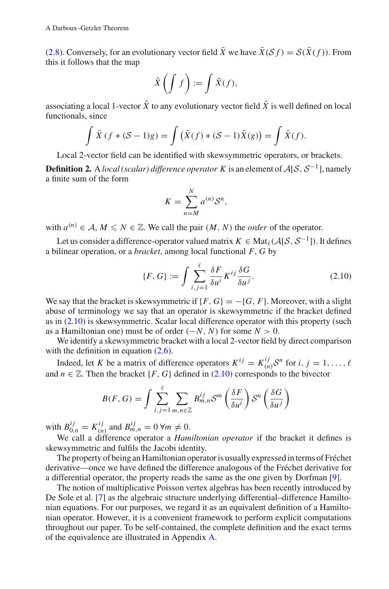(2.8). Conversely, for an evolutionary vector field  $\bar{X}$  we have  $\bar{X}(S f) = S(\bar{X}(f))$ . From this it follows that the map

$$
\hat{X}\left(\int f\right) := \int \bar{X}(f),
$$

associating a local 1-vector  $\hat{X}$  to any evolutionary vector field  $\bar{X}$  is well defined on local functionals, since

$$
\int \bar{X}(f + (\mathcal{S} - 1)g) = \int (\bar{X}(f) + (\mathcal{S} - 1)\bar{X}(g)) = \int \bar{X}(f).
$$

Local 2-vector field can be identified with skewsymmetric operators, or brackets.

**Definition 2.** <sup>A</sup> *local (scalar) difference operator K* is an element of *<sup>A</sup>*[*S*, *<sup>S</sup>*−1], namely a finite sum of the form

$$
K = \sum_{n=M}^{N} a^{(n)} \mathcal{S}^n,
$$

with  $a^{(n)} \in A$ ,  $M \leq N \in \mathbb{Z}$ . We call the pair  $(M, N)$  the *order* of the operator.

Let us consider a difference-operator valued matrix  $K \in Mat_{\ell}(\mathcal{A}[\mathcal{S}, \mathcal{S}^{-1}])$ . It defines a bilinear operation, or a *bracket*, among local functional *F*, *G* by

$$
\{F, G\} := \int \sum_{i,j=1}^{\ell} \frac{\delta F}{\delta u^i} K^{ij} \frac{\delta G}{\delta u^j}.
$$
 (2.10)

We say that the bracket is skewsymmetric if  ${F, G} = -{G, F}$ . Moreover, with a slight abuse of terminology we say that an operator is skewsymmetric if the bracket defined as in  $(2.10)$  is skewsymmetric. Scalar local difference operator with this property (such as a Hamiltonian one) must be of order  $(-N, N)$  for some  $N > 0$ .

We identify a skewsymmetric bracket with a local 2-vector field by direct comparison with the definition in equation  $(2.6)$ .

Indeed, let *K* be a matrix of difference operators  $K^{ij} = K_{(n)}^{ij} S^n$  for *i*,  $j = 1, ..., \ell$ and  $n \in \mathbb{Z}$ . Then the bracket {*F*, *G*} defined in (2.10) corresponds to the bivector

$$
B(F, G) = \int \sum_{i,j=1}^{\ell} \sum_{m,n \in \mathbb{Z}} B_{m,n}^{ij} \mathcal{S}^m \left( \frac{\delta F}{\delta u^i} \right) \mathcal{S}^n \left( \frac{\delta G}{\delta u^j} \right)
$$

with  $B_{0,n}^{ij} = K_{(n)}^{ij}$  and  $B_{m,n}^{ij} = 0 \,\forall m \neq 0$ .

We call a difference operator a *Hamiltonian operator* if the bracket it defines is skewsymmetric and fulfils the Jacobi identity.

The property of being an Hamiltonian operator is usually expressed in terms of Fréchet derivative—once we have defined the difference analogous of the Fréchet derivative for a differential operator, the property reads the same as the one given by Dorfman [9].

The notion of multiplicative Poisson vertex algebras has been recently introduced by De Sole et al. [7] as the algebraic structure underlying differential–difference Hamiltonian equations. For our purposes, we regard it as an equivalent definition of a Hamiltonian operator. However, it is a convenient framework to perform explicit computations throughout our paper. To be self-contained, the complete definition and the exact terms of the equivalence are illustrated in Appendix A.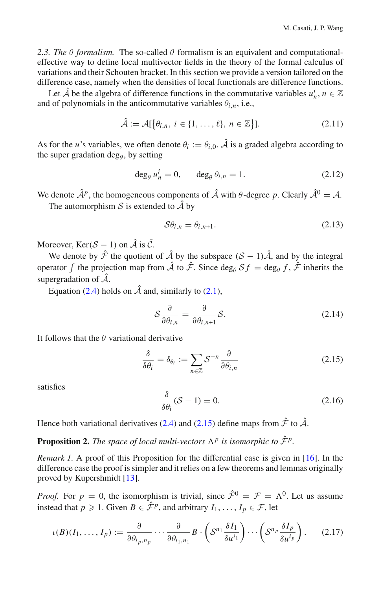2.3. The  $\theta$  *formalism*. The so-called  $\theta$  formalism is an equivalent and computationaleffective way to define local multivector fields in the theory of the formal calculus of variations and their Schouten bracket. In this section we provide a version tailored on the difference case, namely when the densities of local functionals are difference functions.

Let  $\hat{A}$  be the algebra of difference functions in the commutative variables  $u_n^i$ ,  $n \in \mathbb{Z}$ and of polynomials in the anticommutative variables  $\theta_{i,n}$ , i.e.,

$$
\hat{\mathcal{A}} := \mathcal{A}[\left\{\theta_{i,n}, i \in \{1, \ldots, \ell\}, n \in \mathbb{Z}\right\}].
$$
\n(2.11)

As for the *u*'s variables, we often denote  $\theta_i := \theta_{i,0}$ .  $\hat{A}$  is a graded algebra according to the super gradation deg $_{\theta}$ , by setting

$$
\deg_{\theta} u_n^i = 0, \qquad \deg_{\theta} \theta_{i,n} = 1.
$$
 (2.12)

We denote  $\hat{\mathcal{A}}^p$ , the homogeneous components of  $\hat{\mathcal{A}}$  with  $\theta$ -degree p. Clearly  $\hat{\mathcal{A}}^0 = \mathcal{A}$ .

The automorphism  $S$  is extended to  $\hat{A}$  by

$$
\mathcal{S}\theta_{i,n} = \theta_{i,n+1}.\tag{2.13}
$$

Moreover, Ker( $S - 1$ ) on  $\hat{A}$  is  $\overline{C}$ .

We denote by  $\hat{\mathcal{F}}$  the quotient of  $\hat{\mathcal{A}}$  by the subspace  $(\mathcal{S} - 1)\hat{\mathcal{A}}$ , and by the integral operator  $\int$  the projection map from *A* to *F*. Since  $\deg_{\theta} S f = \deg_{\theta} f$ , *F* inherits the supergradation of  $\hat{A}$ .

Equation (2.4) holds on  $\hat{A}$  and, similarly to (2.1),

$$
S\frac{\partial}{\partial \theta_{i,n}} = \frac{\partial}{\partial \theta_{i,n+1}} S. \tag{2.14}
$$

It follows that the  $\theta$  variational derivative

$$
\frac{\delta}{\delta \theta_i} = \delta_{\theta_i} := \sum_{n \in \mathbb{Z}} S^{-n} \frac{\partial}{\partial \theta_{i,n}} \tag{2.15}
$$

satisfies

$$
\frac{\delta}{\delta \theta_i} (\mathcal{S} - 1) = 0. \tag{2.16}
$$

Hence both variational derivatives (2.4) and (2.15) define maps from  $\hat{\mathcal{F}}$  to  $\hat{\mathcal{A}}$ .

**Proposition 2.** *The space of local multi-vectors*  $\Lambda^p$  *is isomorphic to*  $\hat{\mathcal{F}}^p$ *.* 

*Remark 1.* A proof of this Proposition for the differential case is given in [16]. In the difference case the proof is simpler and it relies on a few theorems and lemmas originally proved by Kupershmidt [13].

*Proof.* For  $p = 0$ , the isomorphism is trivial, since  $\hat{\mathcal{F}}^0 = \mathcal{F} = \Lambda^0$ . Let us assume instead that  $p \ge 1$ . Given  $B \in \hat{\mathcal{F}}^p$ , and arbitrary  $I_1, \ldots, I_p \in \mathcal{F}$ , let

$$
\iota(B)(I_1,\ldots,I_p) := \frac{\partial}{\partial \theta_{i_p,n_p}} \cdots \frac{\partial}{\partial \theta_{i_1,n_1}} B \cdot \left(\mathcal{S}^{n_1} \frac{\delta I_1}{\delta u^{i_1}}\right) \cdots \left(\mathcal{S}^{n_p} \frac{\delta I_p}{\delta u^{i_p}}\right). \tag{2.17}
$$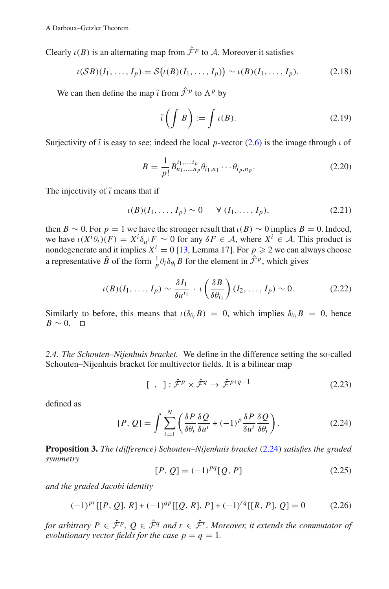Clearly  $\iota(B)$  is an alternating map from  $\hat{\mathcal{F}}^p$  to A. Moreover it satisfies

$$
\iota(SB)(I_1,\ldots,I_p) = \mathcal{S}\big(\iota(B)(I_1,\ldots,I_p)\big) \sim \iota(B)(I_1,\ldots,I_p). \tag{2.18}
$$

We can then define the map  $\tilde{i}$  from  $\hat{\mathcal{F}}^p$  to  $\Lambda^p$  by

$$
\tilde{\iota}\left(\int B\right) := \int \iota(B). \tag{2.19}
$$

Surjectivity of  $\tilde{\iota}$  is easy to see; indeed the local *p*-vector (2.6) is the image through  $\iota$  of

$$
B = \frac{1}{p!} B^{i_1, \dots, i_p}_{n_1, \dots, n_p} \theta_{i_1, n_1} \cdots \theta_{i_p, n_p}.
$$
 (2.20)

The injectivity of  $\tilde{\iota}$  means that if

$$
\iota(B)(I_1,\ldots,I_p) \sim 0 \qquad \forall (I_1,\ldots,I_p),\tag{2.21}
$$

then *B* ∼ 0. For *p* = 1 we have the stronger result that  $\iota(B)$  ∼ 0 implies *B* = 0. Indeed, we have  $\iota(X^i\theta_i)(F) = X^i\delta_{u^i}F \sim 0$  for any  $\delta F \in \mathcal{A}$ , where  $X^i \in \mathcal{A}$ . This product is nondegenerate and it implies  $X^i = 0$  [13, Lemma 17]. For  $p \ge 2$  we can always choose a representative  $\tilde{B}$  of the form  $\frac{1}{p} \theta_i \delta_{\theta_i} B$  for the element in  $\hat{\mathcal{F}}^p$ , which gives

$$
\iota(B)(I_1,\ldots,I_p) \sim \frac{\delta I_1}{\delta u^{i_1}} \cdot \iota\left(\frac{\delta B}{\delta \theta_{i_1}}\right) (I_2,\ldots,I_p) \sim 0. \tag{2.22}
$$

Similarly to before, this means that  $\iota(\delta_{\theta_i}B) = 0$ , which implies  $\delta_{\theta_i}B = 0$ , hence  $B \sim 0$ . □

*2.4. The Schouten–Nijenhuis bracket.* We define in the difference setting the so-called Schouten–Nijenhuis bracket for multivector fields. It is a bilinear map

$$
[ , ]: \hat{\mathcal{F}}^p \times \hat{\mathcal{F}}^q \to \hat{\mathcal{F}}^{p+q-1}
$$
 (2.23)

defined as

$$
[P, Q] = \int \sum_{i=1}^{N} \left( \frac{\delta P}{\delta \theta_i} \frac{\delta Q}{\delta u^i} + (-1)^p \frac{\delta P}{\delta u^i} \frac{\delta Q}{\delta \theta_i} \right).
$$
 (2.24)

**Proposition 3.** *The (difference) Schouten–Nijenhuis bracket* (2.24) *satisfies the graded symmetry*

$$
[P, Q] = (-1)^{pq} [Q, P] \tag{2.25}
$$

*and the graded Jacobi identity*

$$
(-1)^{pr}[[P, Q], R] + (-1)^{qp}[[Q, R], P] + (-1)^{rq}[[R, P], Q] = 0 \qquad (2.26)
$$

*for arbitrary P*  $\in$   $\hat{\mathcal{F}}^p$ ,  $Q \in \hat{\mathcal{F}}^q$  *and*  $r \in \hat{\mathcal{F}}^r$ *. Moreover, it extends the commutator of evolutionary vector fields for the case*  $p = q = 1$ *.*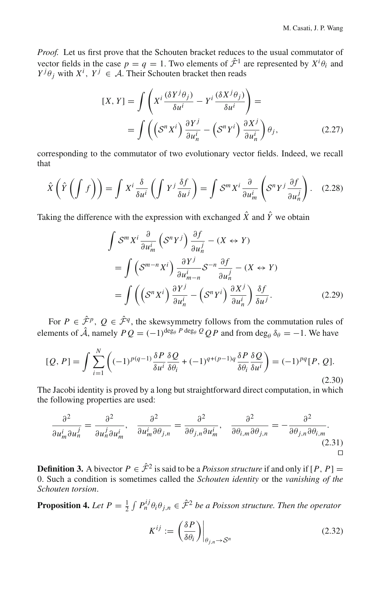*Proof.* Let us first prove that the Schouten bracket reduces to the usual commutator of vector fields in the case  $p = q = 1$ . Two elements of  $\hat{\mathcal{F}}^1$  are represented by  $X^i \theta_i$  and  $Y^{j}\theta_{j}$  with  $X^{i}$ ,  $Y^{j} \in \mathcal{A}$ . Their Schouten bracket then reads

$$
[X, Y] = \int \left( X^i \frac{(\delta Y^j \theta_j)}{\delta u^i} - Y^i \frac{(\delta X^j \theta_j)}{\delta u^i} \right) =
$$
  
= 
$$
\int \left( \left( S^n X^i \right) \frac{\partial Y^j}{\partial u^i_n} - \left( S^n Y^i \right) \frac{\partial X^j}{\partial u^i_n} \right) \theta_j,
$$
 (2.27)

corresponding to the commutator of two evolutionary vector fields. Indeed, we recall that

$$
\hat{X}\left(\hat{Y}\left(\int f\right)\right) = \int X^i \frac{\delta}{\delta u^i} \left(\int Y^j \frac{\delta f}{\delta u^j}\right) = \int S^m X^i \frac{\partial}{\partial u^i_m} \left(S^n Y^j \frac{\partial f}{\partial u^j_n}\right). \quad (2.28)
$$

Taking the difference with the expression with exchanged  $\hat{X}$  and  $\hat{Y}$  we obtain

$$
\int \mathcal{S}^m X^i \frac{\partial}{\partial u_m^i} \left( \mathcal{S}^n Y^j \right) \frac{\partial f}{\partial u_n^j} - (X \leftrightarrow Y)
$$
  
= 
$$
\int \left( \mathcal{S}^{m-n} X^i \right) \frac{\partial Y^j}{\partial u_{m-n}^i} \mathcal{S}^{-n} \frac{\partial f}{\partial u_n^j} - (X \leftrightarrow Y)
$$
  
= 
$$
\int \left( \left( \mathcal{S}^n X^i \right) \frac{\partial Y^j}{\partial u_n^i} - \left( \mathcal{S}^n Y^i \right) \frac{\partial X^j}{\partial u_n^i} \right) \frac{\delta f}{\delta u^j}.
$$
 (2.29)

For  $P \in \hat{\mathcal{F}}^p$ ,  $Q \in \hat{\mathcal{F}}^q$ , the skewsymmetry follows from the commutation rules of elements of  $\hat{A}$ , namely  $PQ = (-1)^{\deg_{\theta} P \deg_{\theta} Q} QP$  and from deg<sub> $\theta \delta_{\theta} = -1$ . We have</sub>

$$
[Q, P] = \int \sum_{i=1}^{N} \left( (-1)^{p(q-1)} \frac{\delta P}{\delta u^i} \frac{\delta Q}{\delta \theta_i} + (-1)^{q+(p-1)q} \frac{\delta P}{\delta \theta_i} \frac{\delta Q}{\delta u^i} \right) = (-1)^{pq} [P, Q].
$$
\n(2.30)

The Jacobi identity is proved by a long but straightforward direct computation, in which the following properties are used:

$$
\frac{\partial^2}{\partial u_m^i \partial u_n^j} = \frac{\partial^2}{\partial u_n^j \partial u_m^i}, \quad \frac{\partial^2}{\partial u_m^i \partial \theta_{j,n}} = \frac{\partial^2}{\partial \theta_{j,n} \partial u_m^i}, \quad \frac{\partial^2}{\partial \theta_{i,m} \partial \theta_{j,n}} = -\frac{\partial^2}{\partial \theta_{j,n} \partial \theta_{i,m}}.
$$
\n(2.31)

**Definition 3.** A bivector  $P \in \hat{\mathcal{F}}^2$  is said to be a *Poisson structure* if and only if  $[P, P] =$ 0. Such a condition is sometimes called the *Schouten identity* or the *vanishing of the Schouten torsion*.

**Proposition 4.** Let  $P = \frac{1}{2} \int P_n^{ij} \theta_i \theta_{j,n} \in \hat{\mathcal{F}}^2$  be a Poisson structure. Then the operator

$$
K^{ij} := \left(\frac{\delta P}{\delta \theta_i}\right)\Big|_{\theta_{j,n} \to \mathcal{S}^n} \tag{2.32}
$$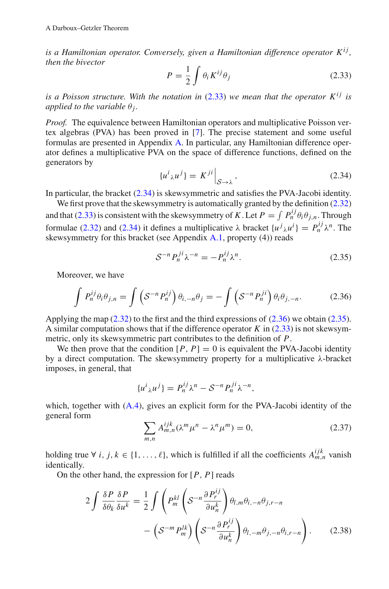*is a Hamiltonian operator. Conversely, given a Hamiltonian difference operator*  $K^{ij}$ , *then the bivector*

$$
P = \frac{1}{2} \int \theta_i K^{ij} \theta_j \tag{2.33}
$$

*is a Poisson structure. With the notation in*  $(2.33)$  *we mean that the operator*  $K^{ij}$  *is applied to the variable*  $\theta_i$ *.* 

*Proof.* The equivalence between Hamiltonian operators and multiplicative Poisson vertex algebras (PVA) has been proved in [7]. The precise statement and some useful formulas are presented in Appendix A. In particular, any Hamiltonian difference operator defines a multiplicative PVA on the space of difference functions, defined on the generators by

$$
\{u^i{}_{\lambda}u^j\} = K^{ji}\Big|_{\mathcal{S}\to\lambda},\tag{2.34}
$$

In particular, the bracket (2.34) is skewsymmetric and satisfies the PVA-Jacobi identity.

We first prove that the skewsymmetry is automatically granted by the definition (2.32) and that (2.33) is consistent with the skewsymmetry of *K*. Let  $P = \int P_n^{ij} \theta_i \theta_{j,n}$ . Through formulae (2.32) and (2.34) it defines a multiplicative  $\lambda$  bracket  $\{u^j{}_{\lambda}u^i\} = P_n^{ij}\lambda^n$ . The skewsymmetry for this bracket (see Appendix A.1, property (4)) reads

$$
S^{-n} P_n^{ji} \lambda^{-n} = -P_n^{ij} \lambda^n. \tag{2.35}
$$

Moreover, we have

$$
\int P_n^{ij} \theta_i \theta_{j,n} = \int \left( S^{-n} P_n^{ij} \right) \theta_{i,-n} \theta_j = - \int \left( S^{-n} P_n^{ji} \right) \theta_i \theta_{j,-n}.
$$
 (2.36)

Applying the map (2.32) to the first and the third expressions of (2.36) we obtain (2.35). A similar computation shows that if the difference operator *K* in (2.33) is not skewsymmetric, only its skewsymmetric part contributes to the definition of *P*.

We then prove that the condition  $[P, P] = 0$  is equivalent the PVA-Jacobi identity by a direct computation. The skewsymmetry property for a multiplicative λ-bracket imposes, in general, that

$$
\{u^i{}_{\lambda}u^j\}=P_n^{ij}\lambda^n-\mathcal{S}^{-n}P_n^{ji}\lambda^{-n},
$$

which, together with  $(A.4)$ , gives an explicit form for the PVA-Jacobi identity of the general form

$$
\sum_{m,n} A_{m,n}^{ijk} (\lambda^m \mu^n - \lambda^n \mu^m) = 0,
$$
\n(2.37)

holding true ∀ *i*, *j*,  $k \in \{1, ..., \ell\}$ , which is fulfilled if all the coefficients  $A_{m,n}^{ijk}$  vanish identically.

On the other hand, the expression for [*P*, *P*] reads

$$
2\int \frac{\delta P}{\delta \theta_k} \frac{\delta P}{\delta u^k} = \frac{1}{2} \int \left( P_m^{kl} \left( S^{-n} \frac{\partial P_r^{ij}}{\partial u_n^k} \right) \theta_{l,m} \theta_{i,-n} \theta_{j,r-n} - \left( S^{-m} P_m^{lk} \right) \left( S^{-n} \frac{\partial P_r^{ij}}{\partial u_n^k} \right) \theta_{l,-m} \theta_{j,-n} \theta_{i,r-n} \right). \tag{2.38}
$$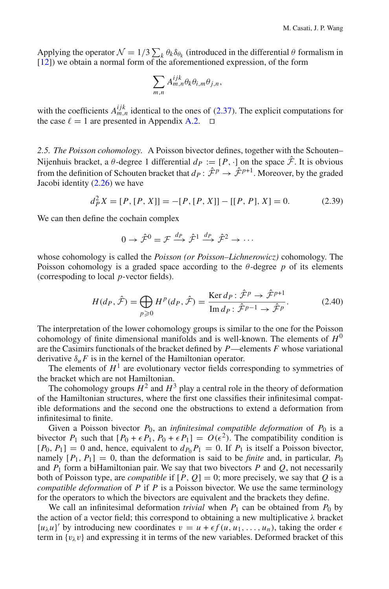Applying the operator  $\mathcal{N} = 1/3 \sum_k \theta_k \delta_{\theta_k}$  (introduced in the differential  $\theta$  formalism in [12]) we obtain a normal form of the aforementioned expression, of the form

$$
\sum_{m,n} A_{m,n}^{ijk} \theta_k \theta_{i,m} \theta_{j,n},
$$

with the coefficients  $A_{m,n}^{ijk}$  identical to the ones of (2.37). The explicit computations for the case  $\ell = 1$  are presented in Appendix A.2.  $\Box$ 

*2.5. The Poisson cohomology.* A Poisson bivector defines, together with the Schouten– Nijenhuis bracket, a  $\theta$ -degree 1 differential  $d_P := [P, \cdot]$  on the space  $\hat{\mathcal{F}}$ . It is obvious from the definition of Schouten bracket that  $d_P: \hat{\mathcal{F}}^p \to \hat{\mathcal{F}}^{p+1}$ . Moreover, by the graded Jacobi identity (2.26) we have

$$
d_P^2 X = [P, [P, X]] = -[P, [P, X]] - [[P, P], X] = 0.
$$
 (2.39)

We can then define the cochain complex

$$
0 \to \hat{\mathcal{F}}^0 = \mathcal{F} \xrightarrow{d_P} \hat{\mathcal{F}}^1 \xrightarrow{d_P} \hat{\mathcal{F}}^2 \to \cdots
$$

whose cohomology is called the *Poisson (or Poisson–Lichnerowicz)* cohomology. The Poisson cohomology is a graded space according to the  $\theta$ -degree p of its elements (correspoding to local *p*-vector fields).

$$
H(d_P, \hat{\mathcal{F}}) = \bigoplus_{p \geqslant 0} H^p(d_P, \hat{\mathcal{F}}) = \frac{\text{Ker } d_P : \hat{\mathcal{F}}^p \to \hat{\mathcal{F}}^{p+1}}{\text{Im } d_P : \hat{\mathcal{F}}^{p-1} \to \hat{\mathcal{F}}^p}.
$$
(2.40)

The interpretation of the lower cohomology groups is similar to the one for the Poisson cohomology of finite dimensional manifolds and is well-known. The elements of  $H^0$ are the Casimirs functionals of the bracket defined by *P*—elements *F* whose variational derivative  $\delta_{\mu} F$  is in the kernel of the Hamiltonian operator.

The elements of  $H<sup>1</sup>$  are evolutionary vector fields corresponding to symmetries of the bracket which are not Hamiltonian.

The cohomology groups  $H^2$  and  $H^3$  play a central role in the theory of deformation of the Hamiltonian structures, where the first one classifies their infinitesimal compatible deformations and the second one the obstructions to extend a deformation from infinitesimal to finite.

Given a Poisson bivector  $P_0$ , an *infinitesimal compatible deformation* of  $P_0$  is a bivector  $P_1$  such that  $[P_0 + \epsilon P_1, P_0 + \epsilon P_1] = O(\epsilon^2)$ . The compatibility condition is  $[P_0, P_1] = 0$  and, hence, equivalent to  $d_{P_0} P_1 = 0$ . If  $P_1$  is itself a Poisson bivector, namely  $[P_1, P_1] = 0$ , than the deformation is said to be *finite* and, in particular,  $P_0$ and  $P_1$  form a biHamiltonian pair. We say that two bivectors  $P$  and  $Q$ , not necessarily both of Poisson type, are *compatible* if  $[P, Q] = 0$ ; more precisely, we say that *Q* is a *compatible deformation* of *P* if *P* is a Poisson bivector. We use the same terminology for the operators to which the bivectors are equivalent and the brackets they define.

We call an infinitesimal deformation *trivial* when  $P_1$  can be obtained from  $P_0$  by the action of a vector field; this correspond to obtaining a new multiplicative  $\lambda$  bracket  ${u_\lambda u}$  by introducing new coordinates  $v = u + \epsilon f(u, u_1, \ldots, u_n)$ , taking the order  $\epsilon$ term in  $\{v_\lambda v\}$  and expressing it in terms of the new variables. Deformed bracket of this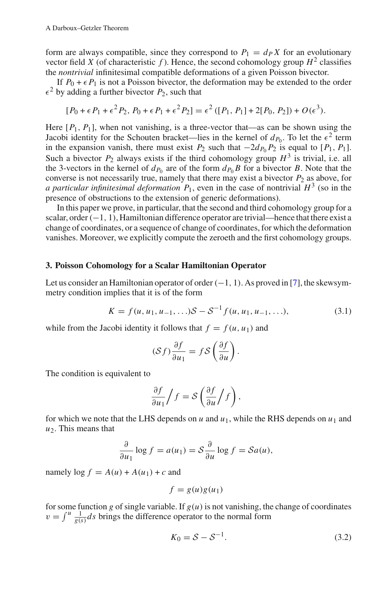form are always compatible, since they correspond to  $P_1 = d_P X$  for an evolutionary vector field *X* (of characteristic *f*). Hence, the second cohomology group  $H^2$  classifies the *nontrivial* infinitesimal compatible deformations of a given Poisson bivector.

If  $P_0 + \epsilon P_1$  is not a Poisson bivector, the deformation may be extended to the order  $\epsilon^2$  by adding a further bivector  $P_2$ , such that

$$
[P_0 + \epsilon P_1 + \epsilon^2 P_2, P_0 + \epsilon P_1 + \epsilon^2 P_2] = \epsilon^2 ([P_1, P_1] + 2[P_0, P_2]) + O(\epsilon^3).
$$

Here  $[P_1, P_1]$ , when not vanishing, is a three-vector that—as can be shown using the Jacobi identity for the Schouten bracket—lies in the kernel of  $d_{P_0}$ . To let the  $\epsilon^2$  term in the expansion vanish, there must exist  $P_2$  such that  $-2d_{P_0}P_2$  is equal to  $[P_1, P_1]$ . Such a bivector  $P_2$  always exists if the third cohomology group  $H^3$  is trivial, i.e. all the 3-vectors in the kernel of  $d_{P_0}$  are of the form  $d_{P_0} B$  for a bivector *B*. Note that the converse is not necessarily true, namely that there may exist a bivector  $P_2$  as above, for *a particular infinitesimal deformation*  $P_1$ , even in the case of nontrivial  $H^3$  (so in the presence of obstructions to the extension of generic deformations).

In this paper we prove, in particular, that the second and third cohomology group for a scalar, order $(-1, 1)$ , Hamiltonian difference operator are trivial—hence that there exist a change of coordinates, or a sequence of change of coordinates, for which the deformation vanishes. Moreover, we explicitly compute the zeroeth and the first cohomology groups.

#### **3. Poisson Cohomology for a Scalar Hamiltonian Operator**

Let us consider an Hamiltonian operator of order  $(-1, 1)$ . As proved in [7], the skewsymmetry condition implies that it is of the form

$$
K = f(u, u_1, u_{-1}, \ldots)S - S^{-1}f(u, u_1, u_{-1}, \ldots),
$$
\n(3.1)

while from the Jacobi identity it follows that  $f = f(u, u_1)$  and

$$
(\mathcal{S}f)\frac{\partial f}{\partial u_1} = f\mathcal{S}\left(\frac{\partial f}{\partial u}\right).
$$

The condition is equivalent to

$$
\frac{\partial f}{\partial u_1} / f = S \left( \frac{\partial f}{\partial u} / f \right),
$$

for which we note that the LHS depends on  $u$  and  $u_1$ , while the RHS depends on  $u_1$  and *u*2. This means that

$$
\frac{\partial}{\partial u_1} \log f = a(u_1) = S \frac{\partial}{\partial u} \log f = Sa(u),
$$

namely  $\log f = A(u) + A(u_1) + c$  and

$$
f = g(u)g(u_1)
$$

for some function *g* of single variable. If  $g(u)$  is not vanishing, the change of coordinates  $v = \int u \frac{1}{g(s)} ds$  brings the difference operator to the normal form

$$
K_0 = S - S^{-1}.
$$
\n
$$
(3.2)
$$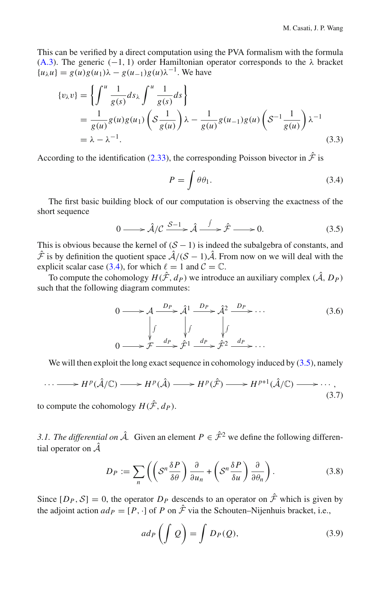This can be verified by a direct computation using the PVA formalism with the formula (A.3). The generic ( $-1$ , 1) order Hamiltonian operator corresponds to the  $\lambda$  bracket  ${u_\lambda u} = g(u)g(u_1)\lambda - g(u_{-1})g(u)\lambda^{-1}$ . We have

$$
\{v_{\lambda}v\} = \left\{\int_{-\infty}^{u} \frac{1}{g(s)} ds_{\lambda} \int_{-\infty}^{u} \frac{1}{g(s)} ds\right\}
$$
  
=  $\frac{1}{g(u)} g(u)g(u_1) \left(S\frac{1}{g(u)}\right) \lambda - \frac{1}{g(u)} g(u_{-1})g(u) \left(S^{-1}\frac{1}{g(u)}\right) \lambda^{-1}$   
=  $\lambda - \lambda^{-1}$ . (3.3)

According to the identification (2.33), the corresponding Poisson bivector in  $\hat{\mathcal{F}}$  is

$$
P = \int \theta \theta_1. \tag{3.4}
$$

The first basic building block of our computation is observing the exactness of the short sequence

$$
0 \longrightarrow \hat{\mathcal{A}}/\mathcal{C} \xrightarrow{\mathcal{S}-1} \hat{\mathcal{A}} \xrightarrow{\int} \hat{\mathcal{F}} \longrightarrow 0. \tag{3.5}
$$

This is obvious because the kernel of  $(S - 1)$  is indeed the subalgebra of constants, and  $\hat{\mathcal{F}}$  is by definition the quotient space  $\hat{\mathcal{A}}/(\mathcal{S} - 1)\hat{\mathcal{A}}$ . From now on we will deal with the explicit scalar case (3.4), for which  $\ell = 1$  and  $\mathcal{C} = \mathbb{C}$ .

To compute the cohomology  $H(\hat{\mathcal{F}}, d_P)$  we introduce an auxiliary complex  $(\hat{\mathcal{A}}, D_P)$ such that the following diagram commutes:

$$
0 \longrightarrow \mathcal{A} \xrightarrow{D_P} \hat{\mathcal{A}}^1 \xrightarrow{D_P} \hat{\mathcal{A}}^2 \xrightarrow{D_P} \cdots
$$
  
\n
$$
\downarrow \qquad \qquad \downarrow \qquad \qquad \downarrow \qquad \qquad (3.6)
$$
\n
$$
0 \longrightarrow \mathcal{F} \xrightarrow{d_P} \hat{\mathcal{F}}^1 \xrightarrow{d_P} \hat{\mathcal{F}}^2 \xrightarrow{d_P} \cdots
$$

We will then exploit the long exact sequence in cohomology induced by  $(3.5)$ , namely

$$
\cdots \longrightarrow H^p(\hat{\mathcal{A}}/\mathbb{C}) \longrightarrow H^p(\hat{\mathcal{A}}) \longrightarrow H^p(\hat{\mathcal{F}}) \longrightarrow H^{p+1}(\hat{\mathcal{A}}/\mathbb{C}) \longrightarrow \cdots,
$$
\n(3.7)

to compute the cohomology  $H(\hat{\mathcal{F}}, d_P)$ .

*3.1. The differential on*  $\hat{A}$ . Given an element  $P \in \hat{\mathcal{F}}^2$  we define the following differential operator on  $\hat{A}$ 

$$
D_P := \sum_{n} \left( \left( S^n \frac{\delta P}{\delta \theta} \right) \frac{\partial}{\partial u_n} + \left( S^n \frac{\delta P}{\delta u} \right) \frac{\partial}{\partial \theta_n} \right). \tag{3.8}
$$

Since  $[D_P, S] = 0$ , the operator  $D_P$  descends to an operator on  $\hat{\mathcal{F}}$  which is given by the adjoint action  $ad_P = [P, \cdot]$  of *P* on  $\hat{\mathcal{F}}$  via the Schouten–Nijenhuis bracket, i.e.,

$$
ad_P\left(\int Q\right) = \int D_P(Q),\tag{3.9}
$$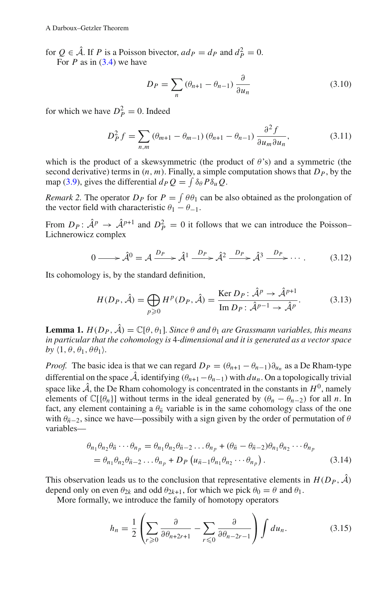for  $Q \in \hat{\mathcal{A}}$ . If *P* is a Poisson bivector,  $ad_P = d_P$  and  $d_P^2 = 0$ .

For  $P$  as in  $(3.4)$  we have

$$
D_P = \sum_{n} \left(\theta_{n+1} - \theta_{n-1}\right) \frac{\partial}{\partial u_n} \tag{3.10}
$$

for which we have  $D_P^2 = 0$ . Indeed

$$
D_P^2 f = \sum_{n,m} (\theta_{m+1} - \theta_{m-1}) (\theta_{n+1} - \theta_{n-1}) \frac{\partial^2 f}{\partial u_m \partial u_n},
$$
(3.11)

which is the product of a skewsymmetric (the product of  $\theta$ 's) and a symmetric (the second derivative) terms in  $(n, m)$ . Finally, a simple computation shows that  $D<sub>P</sub>$ , by the map (3.9), gives the differential  $d_P Q = \int \delta_\theta P \delta_u Q$ .

*Remark 2.* The operator  $D_P$  for  $P = \int \theta \theta_1$  can be also obtained as the prolongation of the vector field with characteristic  $\theta_1 - \theta_{-1}$ .

From  $D_P: \hat{A}^p \to \hat{A}^{p+1}$  and  $D_P^2 = 0$  it follows that we can introduce the Poisson– Lichnerowicz complex

$$
0 \longrightarrow \hat{\mathcal{A}}^0 = \mathcal{A} \xrightarrow{D_P} \hat{\mathcal{A}}^1 \xrightarrow{D_P} \hat{\mathcal{A}}^2 \xrightarrow{D_P} \hat{\mathcal{A}}^3 \xrightarrow{D_P} \cdots
$$
 (3.12)

Its cohomology is, by the standard definition,

$$
H(D_P, \hat{\mathcal{A}}) = \bigoplus_{p \geqslant 0} H^p(D_P, \hat{\mathcal{A}}) = \frac{\text{Ker } D_P \colon \hat{\mathcal{A}}^p \to \hat{\mathcal{A}}^{p+1}}{\text{Im } D_P \colon \hat{\mathcal{A}}^{p-1} \to \hat{\mathcal{A}}^p}.
$$
(3.13)

**Lemma 1.**  $H(D_P, \hat{\mathcal{A}}) = \mathbb{C}[\theta, \theta_1]$ *. Since*  $\theta$  *and*  $\theta_1$  *are Grassmann variables, this means in particular that the cohomology is* 4*-dimensional and it is generated as a vector space* by  $\langle 1, \theta, \theta_1, \theta_1 \rangle$ .

*Proof.* The basic idea is that we can regard  $D_P = (\theta_{n+1} - \theta_{n-1})\partial_{u_n}$  as a De Rham-type differential on the space  $\hat{A}$ , identifying  $(\theta_{n+1}-\theta_{n-1})$  with  $du_n$ . On a topologically trivial space like  $\hat{A}$ , the De Rham cohomology is concentrated in the constants in  $H^0$ , namely elements of  $\mathbb{C}[\{\theta_n\}]$  without terms in the ideal generated by  $(\theta_n - \theta_{n-2})$  for all *n*. In fact, any element containing a  $\theta_{\bar{n}}$  variable is in the same cohomology class of the one with  $\theta_{\bar{n}-2}$ , since we have—possibily with a sign given by the order of permutation of  $\theta$ variables—

$$
\theta_{n_1}\theta_{n_2}\theta_{\bar{n}}\cdots\theta_{n_p} = \theta_{n_1}\theta_{n_2}\theta_{\bar{n}-2}\dots\theta_{n_p} + (\theta_{\bar{n}} - \theta_{\bar{n}-2})\theta_{n_1}\theta_{n_2}\cdots\theta_{n_p}
$$
  
=  $\theta_{n_1}\theta_{n_2}\theta_{\bar{n}-2}\dots\theta_{n_p} + D_P\left(u_{\bar{n}-1}\theta_{n_1}\theta_{n_2}\cdots\theta_{n_p}\right).$  (3.14)

This observation leads us to the conclusion that representative elements in  $H(D_P, \tilde{A})$ depend only on even  $\theta_{2k}$  and odd  $\theta_{2k+1}$ , for which we pick  $\theta_0 = \theta$  and  $\theta_1$ .

More formally, we introduce the family of homotopy operators

$$
h_n = \frac{1}{2} \left( \sum_{r \geqslant 0} \frac{\partial}{\partial \theta_{n+2r+1}} - \sum_{r \leqslant 0} \frac{\partial}{\partial \theta_{n-2r-1}} \right) \int du_n. \tag{3.15}
$$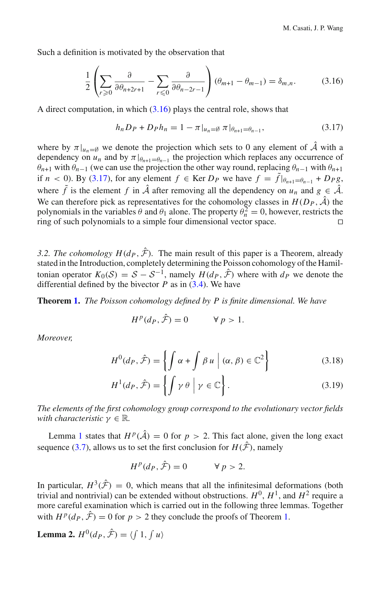Such a definition is motivated by the observation that

$$
\frac{1}{2} \left( \sum_{r \geq 0} \frac{\partial}{\partial \theta_{n+2r+1}} - \sum_{r \leq 0} \frac{\partial}{\partial \theta_{n-2r-1}} \right) (\theta_{m+1} - \theta_{m-1}) = \delta_{m,n}.
$$
 (3.16)

A direct computation, in which (3.16) plays the central role, shows that

$$
h_n D_P + D_P h_n = 1 - \pi |_{u_n = \emptyset} \pi |_{\theta_{n+1} = \theta_{n-1}},
$$
\n(3.17)

where by  $\pi|_{u_n=\emptyset}$  we denote the projection which sets to 0 any element of  $\hat{A}$  with a dependency on  $u_n$  and by  $\pi|_{\theta_{n+1}=\theta_{n-1}}$  the projection which replaces any occurrence of  $\theta_{n+1}$  with  $\theta_{n-1}$  (we can use the projection the other way round, replacing  $\theta_{n-1}$  with  $\theta_{n+1}$ if *n* < 0). By (3.17), for any element  $f \in \text{Ker } D_P$  we have  $f = \tilde{f} |_{\theta_{n+1} = \theta_{n-1}} + D_P g$ , where  $\tilde{f}$  is the element  $f$  in  $\hat{A}$  after removing all the dependency on  $u_n$  and  $g \in \hat{A}$ . We can therefore pick as representatives for the cohomology classes in  $H(D_P, \hat{A})$  the polynomials in the variables  $\theta$  and  $\theta_1$  alone. The property  $\theta_n^2 = 0$ , however, restricts the ring of such polynomials to a simple four dimensional vector space. 

*3.2. The cohomology*  $H(d_P, \hat{\mathcal{F}})$ *.* The main result of this paper is a Theorem, already stated in the Introduction, completely determining the Poisson cohomology of the Hamiltonian operator  $K_0(S) = S - S^{-1}$ , namely  $H(d_P, \hat{\mathcal{F}})$  where with  $d_P$  we denote the differential defined by the bivector  $P$  as in  $(3.4)$ . We have

**Theorem 1.** *The Poisson cohomology defined by P is finite dimensional. We have*

$$
H^p(d_P, \hat{\mathcal{F}}) = 0 \qquad \forall p > 1.
$$

*Moreover,*

$$
H^{0}(d_{P}, \hat{\mathcal{F}}) = \left\{ \int \alpha + \int \beta u \mid (\alpha, \beta) \in \mathbb{C}^{2} \right\}
$$
 (3.18)

$$
H^{1}(d_{P}, \hat{\mathcal{F}}) = \left\{ \int \gamma \theta \mid \gamma \in \mathbb{C} \right\}.
$$
 (3.19)

*The elements of the first cohomology group correspond to the evolutionary vector fields with characteristic*  $\gamma \in \mathbb{R}$ *.* 

Lemma 1 states that  $H^p(\hat{\mathcal{A}}) = 0$  for  $p > 2$ . This fact alone, given the long exact sequence (3.7), allows us to set the first conclusion for  $H(\hat{F})$ , namely

$$
H^p(d_P, \hat{\mathcal{F}}) = 0 \qquad \forall p > 2.
$$

In particular,  $H^3(\hat{F}) = 0$ , which means that all the infinitesimal deformations (both trivial and nontrivial) can be extended without obstructions.  $H^0$ ,  $H^1$ , and  $H^2$  require a more careful examination which is carried out in the following three lemmas. Together with  $H^p(d_P, \hat{\mathcal{F}}) = 0$  for  $p > 2$  they conclude the proofs of Theorem 1.

**Lemma 2.**  $H^0(d_P, \hat{\mathcal{F}}) = \langle \int 1, \int u \rangle$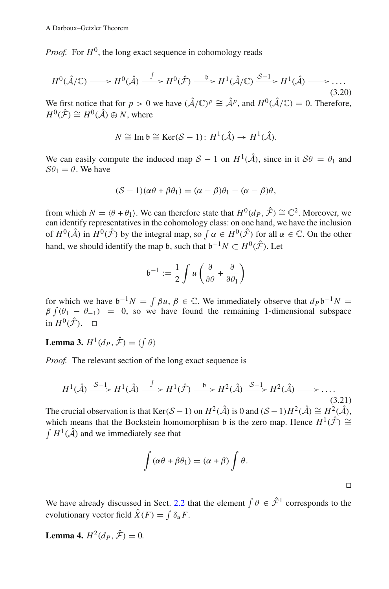*Proof.* For  $H^0$ , the long exact sequence in cohomology reads

$$
H^{0}(\hat{\mathcal{A}}/\mathbb{C}) \longrightarrow H^{0}(\hat{\mathcal{A}}) \stackrel{\int}{\longrightarrow} H^{0}(\hat{\mathcal{F}}) \stackrel{\mathfrak{b}}{\longrightarrow} H^{1}(\hat{\mathcal{A}}/\mathbb{C}) \stackrel{\mathcal{S}-1}{\longrightarrow} H^{1}(\hat{\mathcal{A}}) \longrightarrow \dots
$$
\n(3.20)

We first notice that for *p* > 0 we have  $(\hat{\mathcal{A}}/\mathbb{C})^p \cong \hat{\mathcal{A}}^p$ , and  $H^0(\hat{\mathcal{A}}/\mathbb{C}) = 0$ . Therefore,  $H^0(\hat{\mathcal{F}}) \cong H^0(\hat{\mathcal{A}}) \oplus N$ , where

$$
N \cong \text{Im } \mathfrak{b} \cong \text{Ker}(\mathcal{S} - 1): H^1(\hat{\mathcal{A}}) \to H^1(\hat{\mathcal{A}}).
$$

We can easily compute the induced map  $S - 1$  on  $H^1(\hat{A})$ , since in it  $S\theta = \theta_1$  and  $S\theta_1 = \theta$ . We have

$$
(\mathcal{S} - 1)(\alpha \theta + \beta \theta_1) = (\alpha - \beta)\theta_1 - (\alpha - \beta)\theta,
$$

from which  $N = \langle \theta + \theta_1 \rangle$ . We can therefore state that  $H^0(d_P, \hat{\mathcal{F}}) \cong \mathbb{C}^2$ . Moreover, we can identify representatives in the cohomology class: on one hand, we have the inclusion of  $H^0(\hat{\mathcal{A}})$  in  $H^0(\hat{\mathcal{F}})$  by the integral map, so  $\int \alpha \in H^0(\hat{\mathcal{F}})$  for all  $\alpha \in \mathbb{C}$ . On the other hand, we should identify the map  $\mathfrak{b}$ , such that  $\mathfrak{b}^{-1}N \subset H^0(\hat{\mathcal{F}})$ . Let

$$
\mathfrak{b}^{-1} := \frac{1}{2} \int u \left( \frac{\partial}{\partial \theta} + \frac{\partial}{\partial \theta_1} \right)
$$

for which we have  $b^{-1}N = \int \beta u$ ,  $\beta \in \mathbb{C}$ . We immediately observe that  $d_P b^{-1}N =$  $\beta \int (\theta_1 - \theta_{-1}) = 0$ , so we have found the remaining 1-dimensional subspace in  $H^0(\hat{\mathcal{F}})$ .  $\Box$ 

**Lemma 3.**  $H^1(d_P, \hat{\mathcal{F}}) = \langle \int \theta \rangle$ 

*Proof.* The relevant section of the long exact sequence is

$$
H^{1}(\hat{\mathcal{A}}) \xrightarrow{\mathcal{S}-1} H^{1}(\hat{\mathcal{A}}) \xrightarrow{\int} H^{1}(\hat{\mathcal{F}}) \xrightarrow{\mathfrak{b}} H^{2}(\hat{\mathcal{A}}) \xrightarrow{\mathcal{S}-1} H^{2}(\hat{\mathcal{A}}) \longrightarrow \dots
$$
\n(3.21)

The crucial observation is that Ker(*S* − 1) on  $H^2(\hat{A})$  is 0 and  $(S-1)H^2(\hat{A}) \cong H^2(\hat{A})$ , which means that the Bockstein homomorphism b is the zero map. Hence  $H^1(\hat{F}) \cong$  $\int H^1(\hat{\mathcal{A}})$  and we immediately see that

$$
\int (\alpha \theta + \beta \theta_1) = (\alpha + \beta) \int \theta.
$$

 $\Box$ 

We have already discussed in Sect. 2.2 that the element  $\int \theta \in \hat{\mathcal{F}}^1$  corresponds to the evolutionary vector field  $\ddot{X}(F) = \int \delta_u F$ .

**Lemma 4.**  $H^2(d_P, \hat{\mathcal{F}}) = 0$ .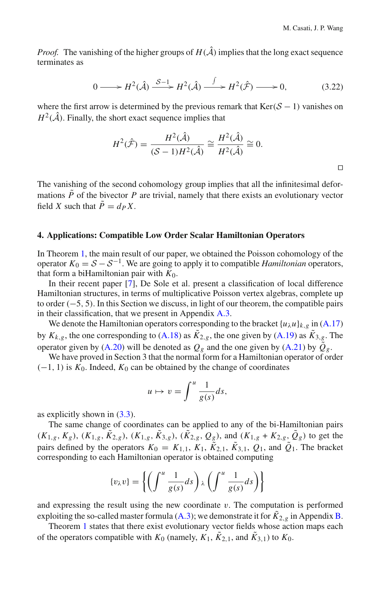*Proof.* The vanishing of the higher groups of  $H(\hat{\mathcal{A}})$  implies that the long exact sequence terminates as

$$
0 \longrightarrow H^{2}(\hat{\mathcal{A}}) \xrightarrow{\mathcal{S}-1} H^{2}(\hat{\mathcal{A}}) \xrightarrow{\int} H^{2}(\hat{\mathcal{F}}) \longrightarrow 0,
$$
 (3.22)

where the first arrow is determined by the previous remark that  $Ker(S - 1)$  vanishes on  $H^2(\hat{\mathcal{A}})$ . Finally, the short exact sequence implies that

$$
H^{2}(\hat{\mathcal{F}}) = \frac{H^{2}(\hat{\mathcal{A}})}{(\mathcal{S} - 1)H^{2}(\hat{\mathcal{A}})} \cong \frac{H^{2}(\hat{\mathcal{A}})}{H^{2}(\hat{\mathcal{A}})} \cong 0.
$$

The vanishing of the second cohomology group implies that all the infinitesimal deformations  $\tilde{P}$  of the bivector  $P$  are trivial, namely that there exists an evolutionary vector field *X* such that  $\tilde{P} = d_P X$ .

#### **4. Applications: Compatible Low Order Scalar Hamiltonian Operators**

In Theorem 1, the main result of our paper, we obtained the Poisson cohomology of the operator  $K_0 = S - S^{-1}$ . We are going to apply it to compatible *Hamiltonian* operators, that form a biHamiltonian pair with  $K_0$ .

In their recent paper [7], De Sole et al. present a classification of local difference Hamiltonian structures, in terms of multiplicative Poisson vertex algebras, complete up to order (−5, 5). In this Section we discuss, in light of our theorem, the compatible pairs in their classification, that we present in Appendix A.3.

We denote the Hamiltonian operators corresponding to the bracket  $\{u_{\lambda}u\}_{k,g}$  in  $(A.17)$ by  $K_{k,g}$ , the one corresponding to (A.18) as  $\tilde{K}_{2,g}$ , the one given by (A.19) as  $\tilde{K}_{3,g}$ . The operator given by (A.20) will be denoted as  $Q_g$  and the one given by (A.21) by  $\tilde{Q}_g$ .

We have proved in Section 3 that the normal form for a Hamiltonian operator of order  $(-1, 1)$  is  $K_0$ . Indeed,  $K_0$  can be obtained by the change of coordinates

$$
u \mapsto v = \int^u \frac{1}{g(s)} ds,
$$

as explicitly shown in  $(3.3)$ .

The same change of coordinates can be applied to any of the bi-Hamiltonian pairs  $(K_{1,g}, K_g)$ ,  $(K_{1,g}, \tilde{K}_{2,g})$ ,  $(K_{1,g}, \tilde{K}_{3,g})$ ,  $(\tilde{K}_{2,g}, Q_g)$ , and  $(K_{1,g} + K_{2,g}, \tilde{Q}_g)$  to get the pairs defined by the operators  $K_0 = K_{1,1}$ ,  $K_1$ ,  $\tilde{K}_{2,1}$ ,  $\tilde{K}_{3,1}$ ,  $Q_1$ , and  $\tilde{Q}_1$ . The bracket corresponding to each Hamiltonian operator is obtained computing

$$
\{v_{\lambda}v\} = \left\{ \left( \int^u \frac{1}{g(s)} ds \right) \lambda \left( \int^u \frac{1}{g(s)} ds \right) \right\}
$$

and expressing the result using the new coordinate  $v$ . The computation is performed exploiting the so-called master formula (A.3); we demonstrate it for  $K_{2,g}$  in Appendix B.

Theorem 1 states that there exist evolutionary vector fields whose action maps each of the operators compatible with  $K_0$  (namely,  $K_1$ ,  $\tilde{K}_{2,1}$ , and  $\tilde{K}_{3,1}$ ) to  $K_0$ .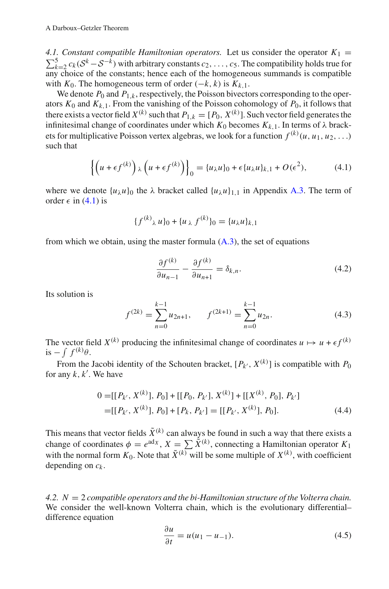4.1. Constant compatible Hamiltonian operators. Let us consider the operator  $K_1 =$  $\sum_{k=2}^{5} c_k (S^k - S^{-k})$  with arbitrary constants  $c_2, \ldots, c_5$ . The compatibility holds true for any choice of the constants; hence each of the homogeneous summands is compatible with  $K_0$ . The homogeneous term of order  $(-k, k)$  is  $K_{k,1}$ .

We denote  $P_0$  and  $P_{1,k}$ , respectively, the Poisson bivectors corresponding to the operators  $K_0$  and  $K_{k,1}$ . From the vanishing of the Poisson cohomology of  $P_0$ , it follows that there exists a vector field  $X^{(k)}$  such that  $P_{1,k} = [P_0, X^{(k)}]$ . Such vector field generates the infinitesimal change of coordinates under which  $K_0$  becomes  $K_{k,1}$ . In terms of  $\lambda$  brackets for multiplicative Poisson vertex algebras, we look for a function  $f^{(k)}(u, u_1, u_2, \ldots)$ such that

$$
\left\{ \left( u + \epsilon f^{(k)} \right)_{\lambda} \left( u + \epsilon f^{(k)} \right) \right\}_0 = \{ u_{\lambda} u \}_0 + \epsilon \{ u_{\lambda} u \}_k, 1 + O(\epsilon^2), \tag{4.1}
$$

where we denote  $\{u_{\lambda}u\}_0$  the  $\lambda$  bracket called  $\{u_{\lambda}u\}_{1,1}$  in Appendix A.3. The term of order  $\epsilon$  in (4.1) is

$$
\{f^{(k)}\lambda u\}_0 + \{u\lambda f^{(k)}\}_0 = \{u\lambda u\}_{k,1}
$$

from which we obtain, using the master formula  $(A.3)$ , the set of equations

$$
\frac{\partial f^{(k)}}{\partial u_{n-1}} - \frac{\partial f^{(k)}}{\partial u_{n+1}} = \delta_{k,n}.\tag{4.2}
$$

Its solution is

$$
f^{(2k)} = \sum_{n=0}^{k-1} u_{2n+1}, \qquad f^{(2k+1)} = \sum_{n=0}^{k-1} u_{2n}.
$$
 (4.3)

The vector field  $X^{(k)}$  producing the infinitesimal change of coordinates  $u \mapsto u + \epsilon f^{(k)}$ is  $-\int f^{(k)}\theta$ .

From the Jacobi identity of the Schouten bracket,  $[P_k, X^{(k)}]$  is compatible with  $P_0$ for any *k*, *k* . We have

$$
0 = [[P_{k'}, X^{(k)}], P_0] + [[P_0, P_{k'}], X^{(k)}] + [[X^{(k)}, P_0], P_{k'}]
$$
  
= [[P\_{k'}, X^{(k)}], P\_0] + [P\_k, P\_{k'}] = [[P\_{k'}, X^{(k)}], P\_0]. (4.4)

This means that vector fields  $\tilde{X}^{(k)}$  can always be found in such a way that there exists a change of coordinates  $\phi = e^{adx}$ ,  $X = \sum_i \tilde{X}^{(k)}$ , connecting a Hamiltonian operator  $K_1$ with the normal form  $K_0$ . Note that  $\tilde{X}^{(k)}$  will be some multiple of  $X^{(k)}$ , with coefficient depending on *ck* .

*4.2. N* = 2 *compatible operators and the bi-Hamiltonian structure of the Volterra chain.* We consider the well-known Volterra chain, which is the evolutionary differential– difference equation

$$
\frac{\partial u}{\partial t} = u(u_1 - u_{-1}).\tag{4.5}
$$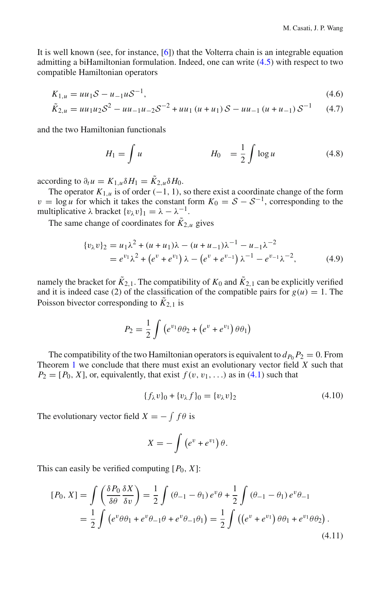It is well known (see, for instance, [6]) that the Volterra chain is an integrable equation admitting a biHamiltonian formulation. Indeed, one can write (4.5) with respect to two compatible Hamiltonian operators

$$
K_{1,u} = uu_1 S - u_{-1} u S^{-1}, \tag{4.6}
$$

$$
\tilde{K}_{2,u} = uu_1u_2\mathcal{S}^2 - uu_{-1}u_{-2}\mathcal{S}^{-2} + uu_1(u+u_1)\mathcal{S} - uu_{-1}(u+u_{-1})\mathcal{S}^{-1}
$$
 (4.7)

and the two Hamiltonian functionals

$$
H_1 = \int u \qquad H_0 = \frac{1}{2} \int \log u \qquad (4.8)
$$

according to  $\partial_t u = K_{1,u} \delta H_1 = \tilde{K}_{2,u} \delta H_0$ .

The operator  $K_{1,u}$  is of order (−1, 1), so there exist a coordinate change of the form  $v = \log u$  for which it takes the constant form  $K_0 = S - S^{-1}$ , corresponding to the multiplicative  $\lambda$  bracket  $\{v_{\lambda}v\}_1 = \lambda - \lambda^{-1}$ .

The same change of coordinates for  $K_{2,u}$  gives

$$
\{v_{\lambda}v\}_2 = u_1\lambda^2 + (u+u_1)\lambda - (u+u_{-1})\lambda^{-1} - u_{-1}\lambda^{-2}
$$
  
=  $e^{v_1}\lambda^2 + (e^v + e^{v_1})\lambda - (e^v + e^{v_{-1}})\lambda^{-1} - e^{v_{-1}}\lambda^{-2},$  (4.9)

namely the bracket for  $\tilde{K}_{2,1}$ . The compatibility of  $K_0$  and  $\tilde{K}_{2,1}$  can be explicitly verified and it is indeed case (2) of the classification of the compatible pairs for  $g(u) = 1$ . The Poisson bivector corresponding to  $\tilde{K}_{2,1}$  is

$$
P_2 = \frac{1}{2} \int (e^{v_1} \theta \theta_2 + (e^v + e^{v_1}) \theta \theta_1)
$$

The compatibility of the two Hamiltonian operators is equivalent to  $d_{P_0} P_2 = 0$ . From Theorem 1 we conclude that there must exist an evolutionary vector field *X* such that  $P_2 = [P_0, X]$ , or, equivalently, that exist  $f(v, v_1, ...)$  as in (4.1) such that

$$
\{f_{\lambda}v\}_0 + \{v_{\lambda}f\}_0 = \{v_{\lambda}v\}_2\tag{4.10}
$$

The evolutionary vector field  $X = -\int f\theta$  is

$$
X=-\int\left(e^{v}+e^{v_1}\right)\theta.
$$

This can easily be verified computing  $[P_0, X]$ :

$$
[P_0, X] = \int \left(\frac{\delta P_0}{\delta \theta} \frac{\delta X}{\delta v}\right) = \frac{1}{2} \int (\theta_{-1} - \theta_1) e^v \theta + \frac{1}{2} \int (\theta_{-1} - \theta_1) e^v \theta_{-1}
$$
  
=  $\frac{1}{2} \int (e^v \theta \theta_1 + e^v \theta_{-1} \theta + e^v \theta_{-1} \theta_1) = \frac{1}{2} \int ((e^v + e^{v_1}) \theta \theta_1 + e^{v_1} \theta \theta_2).$  (4.11)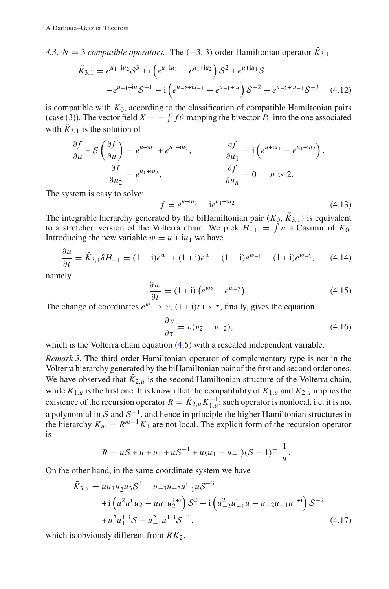*4.3. N* = 3 *compatible operators.* The (−3, 3) order Hamiltonian operator  $\tilde{K}_{3,1}$ 

$$
\tilde{K}_{3,1} = e^{u_1 + iu_2} \mathcal{S}^3 + i \left( e^{u + iu_1} - e^{u_1 + iu_2} \right) \mathcal{S}^2 + e^{u + iu_1} \mathcal{S}
$$
  

$$
-e^{u_{-1} + iu} \mathcal{S}^{-1} - i \left( e^{u_{-2} + iu_{-1}} - e^{u_{-1} + iu} \right) \mathcal{S}^{-2} - e^{u_{-2} + iu_{-1}} \mathcal{S}^{-3} \tag{4.12}
$$

is compatible with  $K_0$ , according to the classification of compatible Hamiltonian pairs (case (3)). The vector field  $X = -\int f\theta$  mapping the bivector  $P_0$  into the one associated with  $\tilde{K}_{3,1}$  is the solution of

$$
\frac{\partial f}{\partial u} + S \left( \frac{\partial f}{\partial u} \right) = e^{u + iu_1} + e^{u_1 + iu_2}, \qquad \frac{\partial f}{\partial u_1} = i \left( e^{u + iu_1} - e^{u_1 + iu_2} \right),
$$

$$
\frac{\partial f}{\partial u_2} = e^{u_1 + iu_2}, \qquad \frac{\partial f}{\partial u_n} = 0 \qquad n > 2.
$$

The system is easy to solve:

$$
f = e^{u + iu_1} - i e^{u_1 + iu_2}.
$$
 (4.13)

The integrable hierarchy generated by the biHamiltonian pair  $(K_0, \tilde{K}_{3,1})$  is equivalent to a stretched version of the Volterra chain. We pick  $H_{-1} = \int u$  a Casimir of  $K_0$ . Introducing the new variable  $w = u + iu_1$  we have

$$
\frac{\partial u}{\partial t} = \tilde{K}_{3,1} \delta H_{-1} = (1 - i)e^{w_1} + (1 + i)e^w - (1 - i)e^{w_{-1}} - (1 + i)e^{w_{-2}}, \qquad (4.14)
$$

namely

$$
\frac{\partial w}{\partial t} = (1 + i) \left( e^{w_2} - e^{w_2} \right). \tag{4.15}
$$

The change of coordinates  $e^w \mapsto v$ ,  $(1+i)t \mapsto \tau$ , finally, gives the equation

$$
\frac{\partial v}{\partial \tau} = v(v_2 - v_{-2}),\tag{4.16}
$$

which is the Volterra chain equation  $(4.5)$  with a rescaled independent variable.

*Remark 3.* The third order Hamiltonian operator of complementary type is not in the Volterra hierarchy generated by the biHamiltonian pair of the first and second order ones. We have observed that  $\tilde{K}_{2,u}$  is the second Hamiltonian structure of the Volterra chain, while  $K_{1,u}$  is the first one. It is known that the compatibility of  $K_{1,u}$  and  $\tilde{K}_{2,u}$  implies the existence of the recursion operator  $R = \tilde{K}_{2,u} K_{1,u}^{-1}$ ; such operator is nonlocal, i.e. it is not a polynomial in *<sup>S</sup>* and *<sup>S</sup>*<sup>−</sup>1, and hence in principle the higher Hamiltonian structures in the hierarchy  $K_m = R^{m-1} K_1$  are not local. The explicit form of the recursion operator is

$$
R = uS + u + u_1 + uS^{-1} + u(u_1 - u_{-1})(S - 1)^{-1}\frac{1}{u}.
$$

On the other hand, in the same coordinate system we have

$$
\tilde{K}_{3,u} = u u_1 u_2^i u_3 \mathcal{S}^3 - u_{-3} u_{-2} u_{-1}^i u \mathcal{S}^{-3}
$$
  
+  $i \left( u^2 u_1^i u_2 - u u_1 u_2^{i+1} \right) \mathcal{S}^2 - i \left( u_{-2}^2 u_{-1}^i u - u_{-2} u_{-1} u^{i+1} \right) \mathcal{S}^{-2}$   
+  $u^2 u_1^{i+1} \mathcal{S} - u_{-1}^2 u_1^{i+1} \mathcal{S}^{-1},$  (4.17)

which is obviously different from  $RK<sub>2</sub>$ .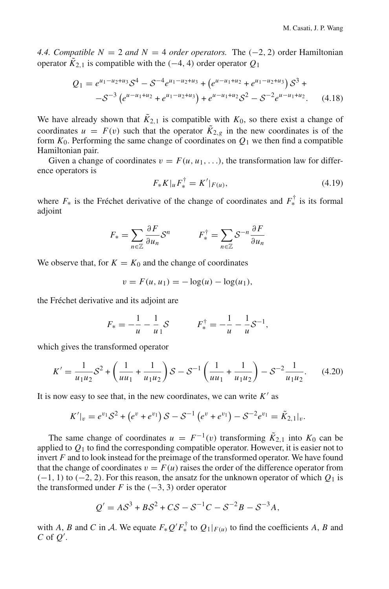*4.4. Compatible N* = 2 *and N* = 4 *order operators.* The  $(-2, 2)$  order Hamiltonian operator  $\tilde{K}_{2,1}$  is compatible with the (−4, 4) order operator  $Q_1$ 

$$
Q_1 = e^{u_1 - u_2 + u_3} \mathcal{S}^4 - \mathcal{S}^{-4} e^{u_1 - u_2 + u_3} + \left( e^{u - u_1 + u_2} + e^{u_1 - u_2 + u_3} \right) \mathcal{S}^3 +
$$
  
-
$$
\mathcal{S}^{-3} \left( e^{u - u_1 + u_2} + e^{u_1 - u_2 + u_3} \right) + e^{u - u_1 + u_2} \mathcal{S}^2 - \mathcal{S}^{-2} e^{u - u_1 + u_2}.
$$
 (4.18)

We have already shown that  $K_{2,1}$  is compatible with  $K_0$ , so there exist a change of coordinates  $u = F(v)$  such that the operator  $\tilde{K}_{2,g}$  in the new coordinates is of the form  $K_0$ . Performing the same change of coordinates on  $Q_1$  we then find a compatible Hamiltonian pair.

Given a change of coordinates  $v = F(u, u_1, \ldots)$ , the transformation law for difference operators is

$$
F_* K|_u F_*^{\dagger} = K'|_{F(u)}, \tag{4.19}
$$

where  $F_*$  is the Fréchet derivative of the change of coordinates and  $F_*^{\dagger}$  is its formal adjoint

$$
F_* = \sum_{n \in \mathbb{Z}} \frac{\partial F}{\partial u_n} S^n \qquad F_*^{\dagger} = \sum_{n \in \mathbb{Z}} S^{-n} \frac{\partial F}{\partial u_n}
$$

We observe that, for  $K = K_0$  and the change of coordinates

$$
v = F(u, u_1) = -\log(u) - \log(u_1),
$$

the Fréchet derivative and its adjoint are

$$
F_* = -\frac{1}{u} - \frac{1}{u}S \qquad F_*^{\dagger} = -\frac{1}{u} - \frac{1}{u}S^{-1},
$$

which gives the transformed operator

$$
K' = \frac{1}{u_1 u_2} S^2 + \left(\frac{1}{u u_1} + \frac{1}{u_1 u_2}\right) S - S^{-1} \left(\frac{1}{u u_1} + \frac{1}{u_1 u_2}\right) - S^{-2} \frac{1}{u_1 u_2}.
$$
 (4.20)

It is now easy to see that, in the new coordinates, we can write  $K'$  as

$$
K'|_{v}=e^{v_1}\mathcal{S}^2+\left(e^{v}+e^{v_1}\right)\mathcal{S}-\mathcal{S}^{-1}\left(e^{v}+e^{v_1}\right)-\mathcal{S}^{-2}e^{v_1}=\tilde{K}_{2,1}|_{v}.
$$

The same change of coordinates  $u = F^{-1}(v)$  transforming  $\tilde{K}_{2,1}$  into  $K_0$  can be applied to  $Q_1$  to find the corresponding compatible operator. However, it is easier not to invert *F* and to look instead for the preimage of the transformed operator. We have found that the change of coordinates  $v = F(u)$  raises the order of the difference operator from  $(-1, 1)$  to  $(-2, 2)$ . For this reason, the ansatz for the unknown operator of which  $Q_1$  is the transformed under *F* is the  $(-3, 3)$  order operator

$$
Q' = A S^3 + B S^2 + C S - S^{-1} C - S^{-2} B - S^{-3} A,
$$

with *A*, *B* and *C* in *A*. We equate  $F_*Q'F_*^{\dagger}$  to  $Q_1|_{F(u)}$  to find the coefficients *A*, *B* and *C* of *Q* .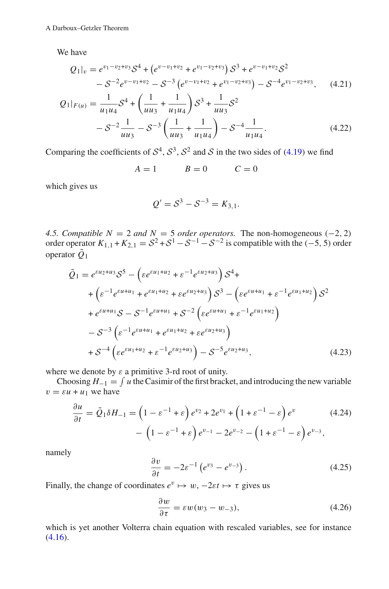We have

$$
Q_1|_v = e^{v_1 - v_2 + v_3} S^4 + \left(e^{v - v_1 + v_2} + e^{v_1 - v_2 + v_3}\right) S^3 + e^{v - v_1 + v_2} S^2
$$
  

$$
- S^{-2} e^{v - v_1 + v_2} - S^{-3} \left(e^{v - v_1 + v_2} + e^{v_1 - v_2 + v_3}\right) - S^{-4} e^{v_1 - v_2 + v_3}, \quad (4.21)
$$

$$
Q_1|_{F(u)} = \frac{1}{u_1 u_4} S^4 + \left(\frac{1}{u u_3} + \frac{1}{u_1 u_4}\right) S^3 + \frac{1}{u u_3} S^2
$$
  

$$
- S^{-2} \frac{1}{u u_3} - S^{-3} \left(\frac{1}{u u_3} + \frac{1}{u_1 u_4}\right) - S^{-4} \frac{1}{u_1 u_4}.
$$
 (4.22)

Comparing the coefficients of  $S^4$ ,  $S^3$ ,  $S^2$  and *S* in the two sides of (4.19) we find

 $A = 1$   $B = 0$   $C = 0$ 

which gives us

$$
Q' = S^3 - S^{-3} = K_{3,1}.
$$

*4.5. Compatible N* = 2 *and N* = 5 *order operators.* The non-homogeneous (−2, 2) order operator  $K_{1,1} + K_{2,1} = S^2 + S^1 - S^{-1} - S^{-2}$  is compatible with the (-5, 5) order operator  $\tilde{Q}_1$ 

$$
\tilde{Q}_{1} = e^{\varepsilon u_{2}+u_{3}} \mathcal{S}^{5} - \left(\varepsilon e^{\varepsilon u_{1}+u_{2}} + \varepsilon^{-1} e^{\varepsilon u_{2}+u_{3}}\right) \mathcal{S}^{4} +
$$
\n
$$
+ \left(\varepsilon^{-1} e^{\varepsilon u + u_{1}} + e^{\varepsilon u_{1}+u_{2}} + \varepsilon e^{\varepsilon u_{2}+u_{3}}\right) \mathcal{S}^{3} - \left(\varepsilon e^{\varepsilon u + u_{1}} + \varepsilon^{-1} e^{\varepsilon u_{1}+u_{2}}\right) \mathcal{S}^{2}
$$
\n
$$
+ e^{\varepsilon u + u_{1}} \mathcal{S} - \mathcal{S}^{-1} e^{\varepsilon u + u_{1}} + \mathcal{S}^{-2} \left(\varepsilon e^{\varepsilon u + u_{1}} + \varepsilon^{-1} e^{\varepsilon u_{1}+u_{2}}\right)
$$
\n
$$
- \mathcal{S}^{-3} \left(\varepsilon^{-1} e^{\varepsilon u + u_{1}} + e^{\varepsilon u_{1}+u_{2}} + \varepsilon e^{\varepsilon u_{2}+u_{3}}\right)
$$
\n
$$
+ \mathcal{S}^{-4} \left(\varepsilon e^{\varepsilon u_{1}+u_{2}} + \varepsilon^{-1} e^{\varepsilon u_{2}+u_{3}}\right) - \mathcal{S}^{-5} e^{\varepsilon u_{2}+u_{3}},
$$
\n(4.23)

where we denote by  $\varepsilon$  a primitive 3-rd root of unity.

Choosing  $H_{-1} = \int u$  the Casimir of the first bracket, and introducing the new variable  $v = \varepsilon u + u_1$  we have

$$
\frac{\partial u}{\partial t} = \tilde{Q}_1 \delta H_{-1} = \left(1 - \varepsilon^{-1} + \varepsilon\right) e^{v_2} + 2e^{v_1} + \left(1 + \varepsilon^{-1} - \varepsilon\right) e^v
$$
\n
$$
- \left(1 - \varepsilon^{-1} + \varepsilon\right) e^{v_{-1}} - 2e^{v_{-2}} - \left(1 + \varepsilon^{-1} - \varepsilon\right) e^{v_{-3}},
$$
\n(4.24)

namely

$$
\frac{\partial v}{\partial t} = -2\varepsilon^{-1} \left( e^{v_3} - e^{v_{-3}} \right). \tag{4.25}
$$

Finally, the change of coordinates  $e^v \mapsto w$ ,  $-2\varepsilon t \mapsto \tau$  gives us

$$
\frac{\partial w}{\partial \tau} = \varepsilon w (w_3 - w_{-3}),\tag{4.26}
$$

which is yet another Volterra chain equation with rescaled variables, see for instance  $(4.16).$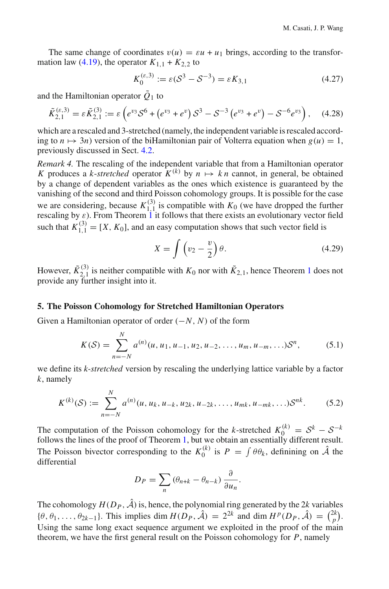The same change of coordinates  $v(u) = \varepsilon u + u_1$  brings, according to the transformation law (4.19), the operator  $K_{1,1} + K_{2,2}$  to

$$
K_0^{(\varepsilon,3)} := \varepsilon (S^3 - S^{-3}) = \varepsilon K_{3,1}
$$
\n(4.27)

and the Hamiltonian operator  $\tilde{Q}_1$  to

$$
\tilde{K}_{2,1}^{(\varepsilon,3)} = \varepsilon \tilde{K}_{2,1}^{(3)} := \varepsilon \left( e^{v_3} \mathcal{S}^6 + \left( e^{v_3} + e^v \right) \mathcal{S}^3 - \mathcal{S}^{-3} \left( e^{v_3} + e^v \right) - \mathcal{S}^{-6} e^{v_3} \right), \quad (4.28)
$$

which are a rescaled and 3-stretched (namely, the independent variable is rescaled according to  $n \mapsto 3n$ ) version of the biHamiltonian pair of Volterra equation when  $g(u) = 1$ , previously discussed in Sect. 4.2.

*Remark 4.* The rescaling of the independent variable that from a Hamiltonian operator *K* produces a *k*-*stretched* operator  $K^{(k)}$  by  $n \mapsto k \, n$  cannot, in general, be obtained by a change of dependent variables as the ones which existence is guaranteed by the vanishing of the second and third Poisson cohomology groups. It is possible for the case we are considering, because  $K_{1,1}^{(3)}$  is compatible with  $K_0$  (we have dropped the further rescaling by  $\varepsilon$ ). From Theorem 1 it follows that there exists an evolutionary vector field such that  $K_{1,1}^{(3)} = [X, K_0]$ , and an easy computation shows that such vector field is

$$
X = \int \left(v_2 - \frac{v}{2}\right)\theta. \tag{4.29}
$$

However,  $\tilde{K}_{2,1}^{(3)}$  is neither compatible with  $K_0$  nor with  $\tilde{K}_{2,1}$ , hence Theorem 1 does not provide any further insight into it.

#### **5. The Poisson Cohomology for Stretched Hamiltonian Operators**

Given a Hamiltonian operator of order (−*N*, *N*) of the form

$$
K(S) = \sum_{n=-N}^{N} a^{(n)}(u, u_1, u_{-1}, u_2, u_{-2}, \dots, u_m, u_{-m}, \dots) S^n,
$$
 (5.1)

we define its *k-stretched* version by rescaling the underlying lattice variable by a factor *k*, namely

$$
K^{(k)}(\mathcal{S}) := \sum_{n=-N}^{N} a^{(n)}(u, u_k, u_{-k}, u_{2k}, u_{-2k}, \dots, u_{mk}, u_{-mk}, \dots) \mathcal{S}^{nk}.
$$
 (5.2)

The computation of the Poisson cohomology for the *k*-stretched  $K_0^{(k)} = S^k - S^{-k}$  follows the lines of the proof of Theorem 1, but we obtain an essentially different result. The Poisson bivector corresponding to the  $K_0^{(k)}$  is  $P = \int \theta \theta_k$ , definining on  $\hat{\mathcal{A}}$  the differential

$$
D_P = \sum_n (\theta_{n+k} - \theta_{n-k}) \frac{\partial}{\partial u_n}.
$$

The cohomology  $H(D_P, \hat{\mathcal{A}})$  is, hence, the polynomial ring generated by the 2*k* variables  $\{\theta, \theta_1, \ldots, \theta_{2k-1}\}.$  This implies dim  $H(D_P, \hat{\mathcal{A}}) = 2^{2k}$  and dim  $H^p(D_P, \hat{\mathcal{A}}) = \binom{2k}{p}.$ Using the same long exact sequence argument we exploited in the proof of the main theorem, we have the first general result on the Poisson cohomology for *P*, namely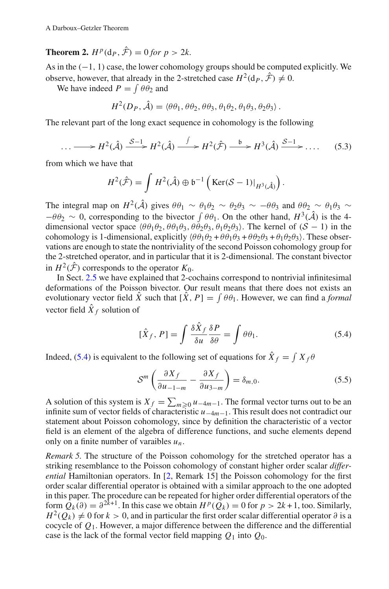### **Theorem 2.**  $H^p(\mathbf{d}_P, \hat{\mathcal{F}}) = 0$  for  $p > 2k$ .

As in the  $(-1, 1)$  case, the lower cohomology groups should be computed explicitly. We observe, however, that already in the 2-stretched case  $H^2(\mathbf{d}_P, \hat{\mathcal{F}}) \neq 0$ .

We have indeed  $P = \int \theta \theta_2$  and

$$
H^2(D_P, \hat{\mathcal{A}}) = \langle \theta \theta_1, \theta \theta_2, \theta \theta_3, \theta_1 \theta_2, \theta_1 \theta_3, \theta_2 \theta_3 \rangle.
$$

The relevant part of the long exact sequence in cohomology is the following

$$
\dots \longrightarrow H^2(\hat{\mathcal{A}}) \xrightarrow{\mathcal{S}-1} H^2(\hat{\mathcal{A}}) \xrightarrow{\int} H^2(\hat{\mathcal{F}}) \xrightarrow{\mathfrak{b}} H^3(\hat{\mathcal{A}}) \xrightarrow{\mathcal{S}-1} \dots \tag{5.3}
$$

from which we have that

$$
H^{2}(\hat{\mathcal{F}}) = \int H^{2}(\hat{\mathcal{A}}) \oplus \mathfrak{b}^{-1} \left( \text{Ker}(\mathcal{S} - 1)|_{H^{3}(\hat{\mathcal{A}})} \right).
$$

The integral map on  $H^2(\hat{A})$  gives  $\theta \theta_1 \sim \theta_1 \theta_2 \sim \theta_2 \theta_3 \sim -\theta \theta_3$  and  $\theta \theta_2 \sim \theta_1 \theta_3 \sim$  $-\theta \theta_2 \sim 0$ , corresponding to the bivector  $\int \theta \theta_1$ . On the other hand,  $H^3(\hat{\mathcal{A}})$  is the 4dimensional vector space  $(\theta \theta_1 \theta_2, \theta \theta_1 \theta_3, \theta \theta_2 \theta_3, \theta_1 \theta_2 \theta_3)$ . The kernel of  $(S - 1)$  in the cohomology is 1-dimensional, explicitly  $(\theta \theta_1 \theta_2 + \theta \theta_1 \theta_3 + \theta \theta_2 \theta_3 + \theta_1 \theta_2 \theta_3)$ . These observations are enough to state the nontriviality of the second Poisson cohomology group for the 2-stretched operator, and in particular that it is 2-dimensional. The constant bivector in  $H^2(\hat{\mathcal{F}})$  corresponds to the operator  $K_0$ .

In Sect. 2.5 we have explained that 2-cochains correspond to nontrivial infinitesimal deformations of the Poisson bivector. Our result means that there does not exists an evolutionary vector field *X* such that  $[X, P] = \int \theta \theta_1$ . However, we can find a *formal* vector field  $\hat{X}_f$  solution of

$$
[\hat{X}_f, P] = \int \frac{\delta \hat{X}_f}{\delta u} \frac{\delta P}{\delta \theta} = \int \theta \theta_1. \tag{5.4}
$$

Indeed, (5.4) is equivalent to the following set of equations for  $\ddot{X}_f = \int X_f \theta$ 

$$
S^{m}\left(\frac{\partial X_{f}}{\partial u_{-1-m}}-\frac{\partial X_{f}}{\partial u_{3-m}}\right)=\delta_{m,0}.
$$
\n(5.5)

A solution of this system is  $X_f = \sum_{m \geq 0} u_{-4m-1}$ . The formal vector turns out to be an infinite sum of vector fields of characteristic *u*−4*m*−1. This result does not contradict our statement about Poisson cohomology, since by definition the characteristic of a vector field is an element of the algebra of difference functions, and suche elements depend only on a finite number of varaibles *un*.

*Remark 5.* The structure of the Poisson cohomology for the stretched operator has a striking resemblance to the Poisson cohomology of constant higher order scalar *differential* Hamiltonian operators. In [2, Remark 15] the Poisson cohomology for the first order scalar differential operator is obtained with a similar approach to the one adopted in this paper. The procedure can be repeated for higher order differential operators of the form  $\hat{O}_k(\partial) = \partial^{2k+1}$ . In this case we obtain  $H^p(\hat{O}_k) = 0$  for  $p > 2k+1$ , too. Similarly,  $H^2(O_k) \neq 0$  for  $k > 0$ , and in particular the first order scalar differential operator  $\partial$  is a cocycle of *Q*1. However, a major difference between the difference and the differential case is the lack of the formal vector field mapping  $Q_1$  into  $Q_0$ .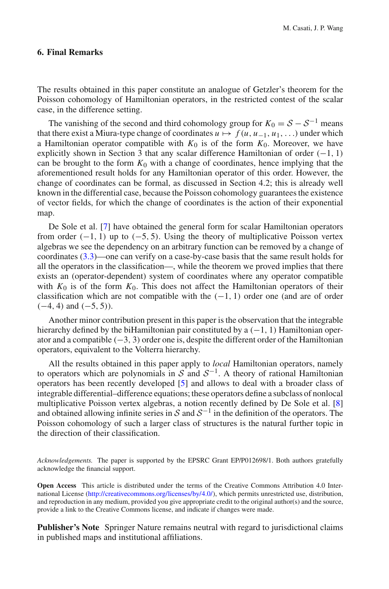#### **6. Final Remarks**

The results obtained in this paper constitute an analogue of Getzler's theorem for the Poisson cohomology of Hamiltonian operators, in the restricted contest of the scalar case, in the difference setting.

The vanishing of the second and third cohomology group for  $K_0 = S - S^{-1}$  means that there exist a Miura-type change of coordinates  $u \mapsto f(u, u_{-1}, u_1, \ldots)$  under which a Hamiltonian operator compatible with  $K_0$  is of the form  $K_0$ . Moreover, we have explicitly shown in Section 3 that any scalar difference Hamiltonian of order  $(-1, 1)$ can be brought to the form  $K_0$  with a change of coordinates, hence implying that the aforementioned result holds for any Hamiltonian operator of this order. However, the change of coordinates can be formal, as discussed in Section 4.2; this is already well known in the differential case, because the Poisson cohomology guarantees the existence of vector fields, for which the change of coordinates is the action of their exponential map.

De Sole et al. [7] have obtained the general form for scalar Hamiltonian operators from order  $(-1, 1)$  up to  $(-5, 5)$ . Using the theory of multiplicative Poisson vertex algebras we see the dependency on an arbitrary function can be removed by a change of coordinates (3.3)—one can verify on a case-by-case basis that the same result holds for all the operators in the classification—, while the theorem we proved implies that there exists an (operator-dependent) system of coordinates where any operator compatible with  $K_0$  is of the form  $K_0$ . This does not affect the Hamiltonian operators of their classification which are not compatible with the  $(-1, 1)$  order one (and are of order  $(-4, 4)$  and  $(-5, 5)$ ).

Another minor contribution present in this paper is the observation that the integrable hierarchy defined by the biHamiltonian pair constituted by a  $(-1, 1)$  Hamiltonian operator and a compatible  $(-3, 3)$  order one is, despite the different order of the Hamiltonian operators, equivalent to the Volterra hierarchy.

All the results obtained in this paper apply to *local* Hamiltonian operators, namely to operators which are polynomials in  $S$  and  $S^{-1}$ . A theory of rational Hamiltonian operators has been recently developed [5] and allows to deal with a broader class of integrable differential–difference equations; these operators define a subclass of nonlocal multiplicative Poisson vertex algebras, a notion recently defined by De Sole et al. [8] and obtained allowing infinite series in *<sup>S</sup>* and *<sup>S</sup>*−<sup>1</sup> in the definition of the operators. The Poisson cohomology of such a larger class of structures is the natural further topic in the direction of their classification.

*Acknowledgements.* The paper is supported by the EPSRC Grant EP/P012698/1. Both authors gratefully acknowledge the financial support.

**Open Access** This article is distributed under the terms of the Creative Commons Attribution 4.0 International License [\(http://creativecommons.org/licenses/by/4.0/\)](http://creativecommons.org/licenses/by/4.0/), which permits unrestricted use, distribution, and reproduction in any medium, provided you give appropriate credit to the original author(s) and the source, provide a link to the Creative Commons license, and indicate if changes were made.

**Publisher's Note** Springer Nature remains neutral with regard to jurisdictional claims in published maps and institutional affiliations.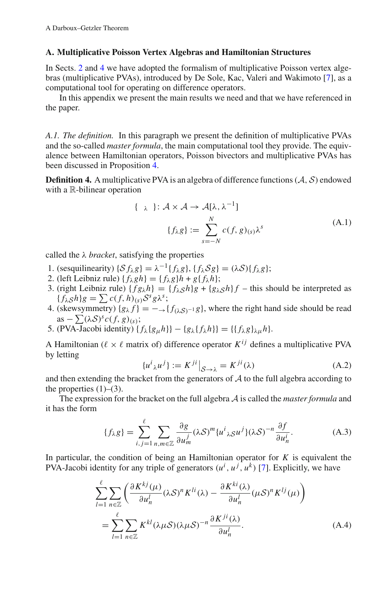#### **A. Multiplicative Poisson Vertex Algebras and Hamiltonian Structures**

In Sects. 2 and 4 we have adopted the formalism of multiplicative Poisson vertex algebras (multiplicative PVAs), introduced by De Sole, Kac, Valeri and Wakimoto [7], as a computational tool for operating on difference operators.

In this appendix we present the main results we need and that we have referenced in the paper.

*A.1. The definition.* In this paragraph we present the definition of multiplicative PVAs and the so-called *master formula*, the main computational tool they provide. The equivalence between Hamiltonian operators, Poisson bivectors and multiplicative PVAs has been discussed in Proposition 4.

**Definition 4.** A multiplicative PVA is an algebra of difference functions  $(A, S)$  endowed with a R-bilinear operation

$$
\{\lambda : A \times A \to A[\lambda, \lambda^{-1}]
$$
  

$$
\{f_{\lambda}g\} := \sum_{s=-N}^{N} c(f, g)_{(s)} \lambda^{s}
$$
 (A.1)

called the  $\lambda$  *bracket*, satisfying the properties

- 1. (sesquilinearity)  $\{S f_{\lambda} g\} = \lambda^{-1} \{f_{\lambda} g\}, \{f_{\lambda} S g\} = (\lambda S) \{f_{\lambda} g\};$
- 2. (left Leibniz rule) {  $f_{\lambda}gh$ } = {  $f_{\lambda}g$ } $h + g$ {  $f_{\lambda}h$ };
- 3. (right Leibniz rule)  $\{fg_{\lambda}h\}=\{f_{\lambda}gh\}g + \{g_{\lambda}gh\}f$  this should be interpreted as  ${f_{\lambda S}h}g = \sum c(f, h)_{(s)}S^s g\lambda^s;$
- 4. (skewsymmetry)  ${g_{\lambda} f} = -\rightarrow {f_{(\lambda,S)-1}g}$ , where the right hand side should be read  $as -\sum (\lambda S)^s c(f, g)_{(s)};$
- 5. (PVA-Jacobi identity)  $\{f_{\lambda}\{g_{\mu}h\}\}-\{g_{\lambda}\{f_{\lambda}h\}\} = \{\{f_{\lambda}g\}_{\lambda\mu}h\}.$

A Hamiltonian ( $\ell \times \ell$  matrix of) difference operator  $K^{ij}$  defines a multiplicative PVA by letting

$$
\{u^i{}_{\lambda}u^j\} := K^{ji}\big|_{\mathcal{S}\to\lambda} = K^{ji}(\lambda)
$$
 (A.2)

and then extending the bracket from the generators of *A* to the full algebra according to the properties  $(1)$ – $(3)$ .

The expression for the bracket on the full algebra *A* is called the *master formula* and it has the form

$$
\{f_{\lambda}g\} = \sum_{i,j=1}^{\ell} \sum_{n,m \in \mathbb{Z}} \frac{\partial g}{\partial u_m^j} (\lambda \mathcal{S})^m \{u^i{}_{\lambda} \mathcal{S} u^j\} (\lambda \mathcal{S})^{-n} \frac{\partial f}{\partial u_n^i}.
$$
 (A.3)

In particular, the condition of being an Hamiltonian operator for  $K$  is equivalent the PVA-Jacobi identity for any triple of generators  $(u^i, u^j, u^k)$  [7]. Explicitly, we have

$$
\sum_{l=1}^{\ell} \sum_{n \in \mathbb{Z}} \left( \frac{\partial K^{kj}(\mu)}{\partial u_n^l} (\lambda \mathcal{S})^n K^{li}(\lambda) - \frac{\partial K^{ki}(\lambda)}{\partial u_n^l} (\mu \mathcal{S})^n K^{lj}(\mu) \right)
$$
  
= 
$$
\sum_{l=1}^{\ell} \sum_{n \in \mathbb{Z}} K^{kl} (\lambda \mu \mathcal{S}) (\lambda \mu \mathcal{S})^{-n} \frac{\partial K^{ji}(\lambda)}{\partial u_n^l}.
$$
 (A.4)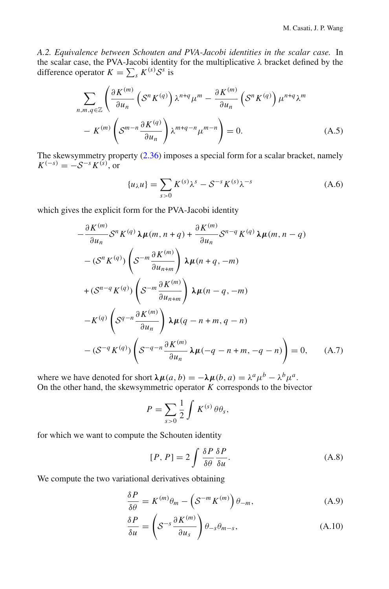*A.2. Equivalence between Schouten and PVA-Jacobi identities in the scalar case.* In the scalar case, the PVA-Jacobi identity for the multiplicative λ bracket defined by the difference operator  $K = \sum_{s} K^{(s)} S^s$  is

$$
\sum_{n,m,q \in \mathbb{Z}} \left( \frac{\partial K^{(m)}}{\partial u_n} \left( S^n K^{(q)} \right) \lambda^{n+q} \mu^m - \frac{\partial K^{(m)}}{\partial u_n} \left( S^n K^{(q)} \right) \mu^{n+q} \lambda^m - K^{(m)} \left( S^{m-n} \frac{\partial K^{(q)}}{\partial u_n} \right) \lambda^{m+q-n} \mu^{m-n} \right) = 0.
$$
\n(A.5)

The skewsymmetry property (2.36) imposes a special form for a scalar bracket, namely  $K^{(-s)} = -S^{-s}K^{(s)}$ , or

$$
\{u_{\lambda}u\} = \sum_{s>0} K^{(s)}\lambda^s - S^{-s}K^{(s)}\lambda^{-s}
$$
 (A.6)

which gives the explicit form for the PVA-Jacobi identity

$$
-\frac{\partial K^{(m)}}{\partial u_n} S^n K^{(q)} \lambda \mu(m, n+q) + \frac{\partial K^{(m)}}{\partial u_n} S^{n-q} K^{(q)} \lambda \mu(m, n-q)
$$
  

$$
-(S^n K^{(q)}) \left(S^{-m} \frac{\partial K^{(m)}}{\partial u_{n+m}}\right) \lambda \mu(n+q, -m)
$$
  

$$
+(S^{n-q} K^{(q)}) \left(S^{-m} \frac{\partial K^{(m)}}{\partial u_{n+m}}\right) \lambda \mu(n-q, -m)
$$
  

$$
-K^{(q)} \left(S^{q-n} \frac{\partial K^{(m)}}{\partial u_n}\right) \lambda \mu(q-n+m, q-n)
$$
  

$$
-(S^{-q} K^{(q)}) \left(S^{-q-n} \frac{\partial K^{(m)}}{\partial u_n}\lambda \mu(-q-n+m, -q-n)\right) = 0, \quad (A.7)
$$

where we have denoted for short  $\lambda \mu(a, b) = -\lambda \mu(b, a) = \lambda^a \mu^b - \lambda^b \mu^a$ . On the other hand, the skewsymmetric operator *K* corresponds to the bivector

$$
P = \sum_{s>0} \frac{1}{2} \int K^{(s)} \theta \theta_s,
$$

for which we want to compute the Schouten identity

$$
[P, P] = 2 \int \frac{\delta P}{\delta \theta} \frac{\delta P}{\delta u}.
$$
 (A.8)

We compute the two variational derivatives obtaining

$$
\frac{\delta P}{\delta \theta} = K^{(m)} \theta_m - \left( S^{-m} K^{(m)} \right) \theta_{-m}, \tag{A.9}
$$

$$
\frac{\delta P}{\delta u} = \left( S^{-s} \frac{\partial K^{(m)}}{\partial u_s} \right) \theta_{-s} \theta_{m-s},\tag{A.10}
$$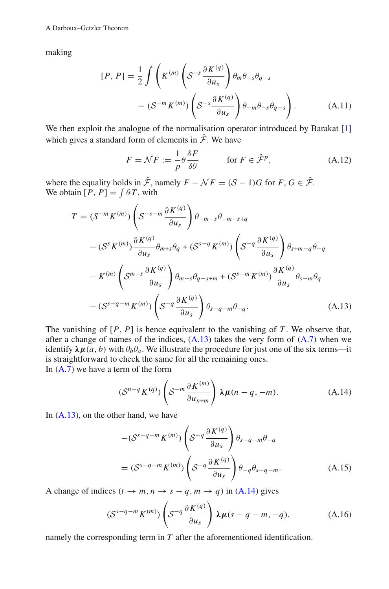making

$$
[P, P] = \frac{1}{2} \int \left( K^{(m)} \left( S^{-s} \frac{\partial K^{(q)}}{\partial u_s} \right) \theta_m \theta_{-s} \theta_{q-s} - (S^{-m} K^{(m)}) \left( S^{-s} \frac{\partial K^{(q)}}{\partial u_s} \right) \theta_{-m} \theta_{-s} \theta_{q-s} \right). \tag{A.11}
$$

We then exploit the analogue of the normalisation operator introduced by Barakat [1] which gives a standard form of elements in  $\hat{\mathcal{F}}$ . We have

$$
F = \mathcal{N}F := \frac{1}{p}\theta \frac{\delta F}{\delta \theta} \qquad \text{for } F \in \hat{\mathcal{F}}^p,\tag{A.12}
$$

where the equality holds in  $\hat{\mathcal{F}}$ , namely  $F - \mathcal{N}F = (\mathcal{S} - 1)G$  for  $F, G \in \hat{\mathcal{F}}$ . We obtain  $[P, P] = \int \theta T$ , with

$$
T = (S^{-m} K^{(m)}) \left( S^{-s-m} \frac{\partial K^{(q)}}{\partial u_s} \right) \theta_{-m-s} \theta_{-m-s+q}
$$
  

$$
- (S^{s} K^{(m)}) \frac{\partial K^{(q)}}{\partial u_s} \theta_{m+s} \theta_q + (S^{s-q} K^{(m)}) \left( S^{-q} \frac{\partial K^{(q)}}{\partial u_s} \right) \theta_{s+m-q} \theta_{-q}
$$
  

$$
- K^{(m)} \left( S^{m-s} \frac{\partial K^{(q)}}{\partial u_s} \right) \theta_{m-s} \theta_{q-s+m} + (S^{s-m} K^{(m)}) \frac{\partial K^{(q)}}{\partial u_s} \theta_{s-m} \theta_q
$$
  

$$
- (S^{s-q-m} K^{(m)}) \left( S^{-q} \frac{\partial K^{(q)}}{\partial u_s} \right) \theta_{s-q-m} \theta_{-q}.
$$
 (A.13)

The vanishing of  $[P, P]$  is hence equivalent to the vanishing of  $T$ . We observe that, after a change of names of the indices,  $(A.13)$  takes the very form of  $(A.7)$  when we identify  $\lambda \mu(a, b)$  with  $\theta_b \theta_a$ . We illustrate the procedure for just one of the six terms—it is straightforward to check the same for all the remaining ones. In  $(A.7)$  we have a term of the form

$$
\left(S^{n-q}K^{(q)}\right)\left(S^{-m}\frac{\partial K^{(m)}}{\partial u_{n+m}}\right)\lambda\mu(n-q,-m). \tag{A.14}
$$

In  $(A.13)$ , on the other hand, we have

$$
-(S^{s-q-m}K^{(m)})\left(S^{-q}\frac{\partial K^{(q)}}{\partial u_s}\right)\theta_{s-q-m}\theta_{-q}
$$

$$
=(S^{s-q-m}K^{(m)})\left(S^{-q}\frac{\partial K^{(q)}}{\partial u_s}\right)\theta_{-q}\theta_{s-q-m}.
$$
(A.15)

A change of indices  $(t \rightarrow m, n \rightarrow s - q, m \rightarrow q)$  in (A.14) gives

$$
(S^{s-q-m}K^{(m)})\left(S^{-q}\frac{\partial K^{(q)}}{\partial u_s}\right)\lambda\mu(s-q-m,-q),\tag{A.16}
$$

namely the corresponding term in *T* after the aforementioned identification.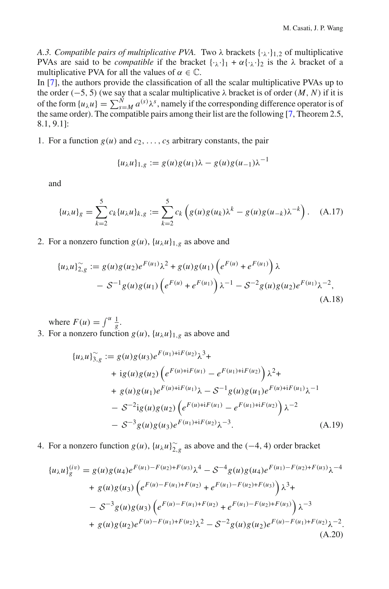*A.3. Compatible pairs of multiplicative PVA.* Two  $\lambda$  brackets  $\{\cdot_{\lambda}\cdot\}_{1,2}$  of multiplicative PVAs are said to be *compatible* if the bracket  $\{\cdot_{\lambda}\cdot\}_1 + \alpha\{\cdot_{\lambda}\cdot\}_2$  is the  $\lambda$  bracket of a multiplicative PVA for all the values of  $\alpha \in \mathbb{C}$ .

In [7], the authors provide the classification of all the scalar multiplicative PVAs up to the order (−5, 5) (we say that a scalar multiplicative λ bracket is of order (*M*, *N*) if it is of the form  $\{u_\lambda u\} = \sum_{s=1}^N a^{(s)} \lambda^s$ , namely if the corresponding difference operator is of the same order). The compatible pairs among their list are the following [7, Theorem 2.5, 8.1, 9.1]:

1. For a function  $g(u)$  and  $c_2, \ldots, c_5$  arbitrary constants, the pair

$$
\{u_{\lambda}u\}_{1,g} := g(u)g(u_1)\lambda - g(u)g(u_{-1})\lambda^{-1}
$$

and

$$
\{u_{\lambda}u\}_{g} = \sum_{k=2}^{5} c_{k} \{u_{\lambda}u\}_{k,g} := \sum_{k=2}^{5} c_{k} \left(g(u)g(u_{k})\lambda^{k} - g(u)g(u_{-k})\lambda^{-k}\right). \quad (A.17)
$$

2. For a nonzero function  $g(u)$ ,  $\{u_\lambda u\}_{\lambda,g}$  as above and

$$
\{u_{\lambda}u\}_{2,g}^{\sim} := g(u)g(u_2)e^{F(u_1)}\lambda^2 + g(u)g(u_1)\left(e^{F(u)} + e^{F(u_1)}\right)\lambda
$$
  
-  $\mathcal{S}^{-1}g(u)g(u_1)\left(e^{F(u)} + e^{F(u_1)}\right)\lambda^{-1} - \mathcal{S}^{-2}g(u)g(u_2)e^{F(u_1)}\lambda^{-2},$   
(A.18)

where  $F(u) = \int^u \frac{1}{g}$ .

3. For a nonzero function  $g(u)$ ,  $\{u_\lambda u\}_{1,g}$  as above and

$$
\{u_{\lambda}u\}_{3,g}^{\sim} := g(u)g(u_{3})e^{F(u_{1})+iF(u_{2})}\lambda^{3} +
$$
  
+ 
$$
ig(u)g(u_{2})\left(e^{F(u)+iF(u_{1})} - e^{F(u_{1})+iF(u_{2})}\right)\lambda^{2} +
$$
  
+ 
$$
g(u)g(u_{1})e^{F(u)+iF(u_{1})}\lambda - S^{-1}g(u)g(u_{1})e^{F(u)+iF(u_{1})}\lambda^{-1}
$$
  
- 
$$
S^{-2}ig(u)g(u_{2})\left(e^{F(u)+iF(u_{1})} - e^{F(u_{1})+iF(u_{2})}\right)\lambda^{-2}
$$
  
- 
$$
S^{-3}g(u)g(u_{3})e^{F(u_{1})+iF(u_{2})}\lambda^{-3}.
$$
 (A.19)

4. For a nonzero function  $g(u)$ ,  $\{u_{\lambda}u\}_{\lambda,g}^{\sim}$  as above and the (-4, 4) order bracket

$$
\{u_{\lambda}u\}_{g}^{(iv)} = g(u)g(u_{4})e^{F(u_{1})-F(u_{2})+F(u_{3})}\lambda^{4} - S^{-4}g(u)g(u_{4})e^{F(u_{1})-F(u_{2})+F(u_{3})}\lambda^{-4}
$$
  
+  $g(u)g(u_{3})\left(e^{F(u)-F(u_{1})+F(u_{2})}+e^{F(u_{1})-F(u_{2})+F(u_{3})}\right)\lambda^{3} +$   
-  $S^{-3}g(u)g(u_{3})\left(e^{F(u)-F(u_{1})+F(u_{2})}+e^{F(u_{1})-F(u_{2})+F(u_{3})}\right)\lambda^{-3}$   
+  $g(u)g(u_{2})e^{F(u)-F(u_{1})+F(u_{2})}\lambda^{2} - S^{-2}g(u)g(u_{2})e^{F(u)-F(u_{1})+F(u_{2})}\lambda^{-2}$ .  
(A.20)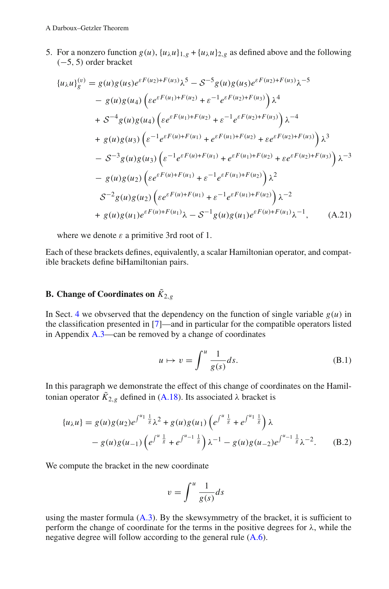5. For a nonzero function  $g(u)$ ,  $\{u_\lambda u\}_{\lambda,g} + \{u_\lambda u\}_{\lambda,g}$  as defined above and the following (−5, 5) order bracket

$$
\{u_{\lambda}u\}_{g}^{(v)} = g(u)g(u_{5})e^{\varepsilon F(u_{2})+F(u_{3})}\lambda^{5} - S^{-5}g(u)g(u_{5})e^{\varepsilon F(u_{2})+F(u_{3})}\lambda^{-5}
$$
  
\n
$$
- g(u)g(u_{4})\left(\varepsilon e^{\varepsilon F(u_{1})+F(u_{2})} + \varepsilon^{-1}e^{\varepsilon F(u_{2})+F(u_{3})}\right)\lambda^{4}
$$
  
\n
$$
+ S^{-4}g(u)g(u_{4})\left(\varepsilon e^{\varepsilon F(u_{1})+F(u_{2})} + \varepsilon^{-1}e^{\varepsilon F(u_{2})+F(u_{3})}\right)\lambda^{-4}
$$
  
\n
$$
+ g(u)g(u_{3})\left(\varepsilon^{-1}e^{\varepsilon F(u)+F(u_{1})} + e^{\varepsilon F(u_{1})+F(u_{2})} + \varepsilon e^{\varepsilon F(u_{2})+F(u_{3})}\right)\lambda^{3}
$$
  
\n
$$
- S^{-3}g(u)g(u_{3})\left(\varepsilon^{-1}e^{\varepsilon F(u)+F(u_{1})} + e^{\varepsilon F(u_{1})+F(u_{2})} + \varepsilon e^{\varepsilon F(u_{2})+F(u_{3})}\right)\lambda^{-3}
$$
  
\n
$$
- g(u)g(u_{2})\left(\varepsilon e^{\varepsilon F(u)+F(u_{1})} + \varepsilon^{-1}e^{\varepsilon F(u_{1})+F(u_{2})}\right)\lambda^{2}
$$
  
\n
$$
S^{-2}g(u)g(u_{2})\left(\varepsilon e^{\varepsilon F(u)+F(u_{1})} + \varepsilon^{-1}e^{\varepsilon F(u_{1})+F(u_{2})}\right)\lambda^{-2}
$$
  
\n
$$
+ g(u)g(u_{1})e^{\varepsilon F(u)+F(u_{1})}\lambda - S^{-1}g(u)g(u_{1})e^{\varepsilon F(u)+F(u_{1})}\lambda^{-1}, \qquad (A.21)
$$

where we denote  $\varepsilon$  a primitive 3rd root of 1.

Each of these brackets defines, equivalently, a scalar Hamiltonian operator, and compatible brackets define biHamiltonian pairs.

### **B.** Change of Coordinates on  $\tilde{K}_{2,g}$

In Sect. 4 we obvserved that the dependency on the function of single variable  $g(u)$  in the classification presented in [7]—and in particular for the compatible operators listed in Appendix A.3—can be removed by a change of coordinates

$$
u \mapsto v = \int^{u} \frac{1}{g(s)} ds.
$$
 (B.1)

In this paragraph we demonstrate the effect of this change of coordinates on the Hamiltonian operator  $\tilde{K}_{2,g}$  defined in (A.18). Its associated  $\lambda$  bracket is

$$
\{u_{\lambda}u\} = g(u)g(u_2)e^{\int^{u_1} \frac{1}{s}} \lambda^2 + g(u)g(u_1)\left(e^{\int^u \frac{1}{s}} + e^{\int^{u_1} \frac{1}{s}}\right) \lambda
$$
  
-  $g(u)g(u_{-1})\left(e^{\int^u \frac{1}{s}} + e^{\int^{u_{-1}} \frac{1}{s}}\right) \lambda^{-1} - g(u)g(u_{-2})e^{\int^{u_{-1}} \frac{1}{s}} \lambda^{-2}.$  (B.2)

We compute the bracket in the new coordinate

$$
v = \int^u \frac{1}{g(s)} ds
$$

using the master formula  $(A,3)$ . By the skewsymmetry of the bracket, it is sufficient to perform the change of coordinate for the terms in the positive degrees for  $\lambda$ , while the negative degree will follow according to the general rule (A.6).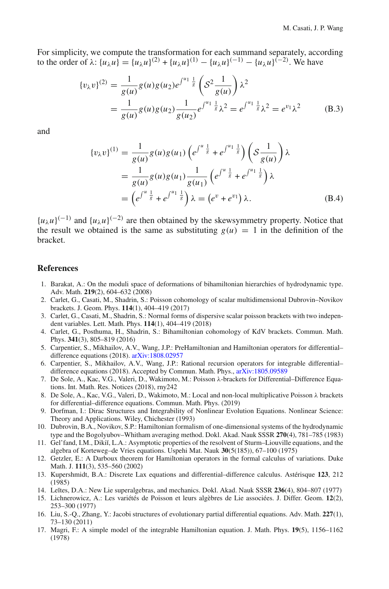For simplicity, we compute the transformation for each summand separately, according to the order of  $\lambda$ :  $\{u_{\lambda}u\} = \{u_{\lambda}u\}^{(2)} + \{u_{\lambda}u\}^{(1)} - \{u_{\lambda}u\}^{(-1)} - \{u_{\lambda}u\}^{(-2)}$ . We have

$$
\{v_{\lambda}v\}^{(2)} = \frac{1}{g(u)}g(u)g(u_2)e^{\int^{u_1} \frac{1}{g}} \left(S^2 \frac{1}{g(u)}\right)\lambda^2
$$
  
= 
$$
\frac{1}{g(u)}g(u)g(u_2)\frac{1}{g(u_2)}e^{\int^{u_1} \frac{1}{g}}\lambda^2 = e^{\int^{u_1} \frac{1}{g}}\lambda^2 = e^{v_1}\lambda^2
$$
 (B.3)

and

$$
\{v_{\lambda}v\}^{(1)} = \frac{1}{g(u)}g(u)g(u_1)\left(e^{\int^u \frac{1}{g}} + e^{\int^u \frac{1}{g}}\right)\left(S\frac{1}{g(u)}\right)\lambda
$$
  

$$
= \frac{1}{g(u)}g(u)g(u_1)\frac{1}{g(u_1)}\left(e^{\int^u \frac{1}{g}} + e^{\int^u \frac{1}{g}}\right)\lambda
$$
  

$$
= \left(e^{\int^u \frac{1}{g}} + e^{\int^u \frac{1}{g}}\right)\lambda = \left(e^v + e^{v_1}\right)\lambda.
$$
 (B.4)

 ${u_\lambda u}$ <sup>(−1)</sup> and  ${u_\lambda u}$ <sup>(−2)</sup> are then obtained by the skewsymmetry property. Notice that the result we obtained is the same as substituting  $g(u) = 1$  in the definition of the bracket.

#### **References**

- 1. Barakat, A.: On the moduli space of deformations of bihamiltonian hierarchies of hydrodynamic type. Adv. Math. **219**(2), 604–632 (2008)
- 2. Carlet, G., Casati, M., Shadrin, S.: Poisson cohomology of scalar multidimensional Dubrovin–Novikov brackets. J. Geom. Phys. **114**(1), 404–419 (2017)
- 3. Carlet, G., Casati, M., Shadrin, S.: Normal forms of dispersive scalar poisson brackets with two independent variables. Lett. Math. Phys. **114**(1), 404–419 (2018)
- 4. Carlet, G., Posthuma, H., Shadrin, S.: Bihamiltonian cohomology of KdV brackets. Commun. Math. Phys. **341**(3), 805–819 (2016)
- 5. Carpentier, S., Mikhailov, A.V., Wang, J.P.: PreHamiltonian and Hamiltonian operators for differential– difference equations (2018). [arXiv:1808.02957](http://arxiv.org/abs/1808.02957)
- 6. Carpentier, S., Mikhailov, A.V., Wang, J.P.: Rational recursion operators for integrable differential– difference equations (2018). Accepted by Commun. Math. Phys., [arXiv:1805.09589](http://arxiv.org/abs/1805.09589)
- 7. De Sole, A., Kac, V.G., Valeri, D., Wakimoto, M.: Poisson λ-brackets for Differential–Difference Equations. Int. Math. Res. Notices (2018), rny242
- 8. De Sole, A., Kac, V.G., Valeri, D., Wakimoto, M.: Local and non-local multiplicative Poisson λ brackets for differential–difference equations. Commun. Math. Phys. (2019)
- 9. Dorfman, I.: Dirac Structures and Integrability of Nonlinear Evolution Equations. Nonlinear Science: Theory and Applications. Wiley, Chichester (1993)
- 10. Dubrovin, B.A., Novikov, S.P.: Hamiltonian formalism of one-dimensional systems of the hydrodynamic type and the Bogolyubov–Whitham averaging method. Dokl. Akad. Nauk SSSR **270**(4), 781–785 (1983)
- 11. Gel'fand, I.M., Dikiĭ, L.A.: Asymptotic properties of the resolvent of Sturm–Liouville equations, and the algebra of Korteweg–de Vries equations. Uspehi Mat. Nauk **30**(5(185)), 67–100 (1975)
- 12. Getzler, E.: A Darboux theorem for Hamiltonian operators in the formal calculus of variations. Duke Math. J. **111**(3), 535–560 (2002)
- 13. Kupershmidt, B.A.: Discrete Lax equations and differential–difference calculus. Astérisque **123**, 212 (1985)
- 14. Le˘ıtes, D.A.: New Lie superalgebras, and mechanics. Dokl. Akad. Nauk SSSR **236**(4), 804–807 (1977)
- 15. Lichnerowicz, A.: Les variétés de Poisson et leurs algèbres de Lie associées. J. Differ. Geom. **12**(2), 253–300 (1977)
- 16. Liu, S.-Q., Zhang, Y.: Jacobi structures of evolutionary partial differential equations. Adv. Math. **227**(1), 73–130 (2011)
- 17. Magri, F.: A simple model of the integrable Hamiltonian equation. J. Math. Phys. **19**(5), 1156–1162 (1978)